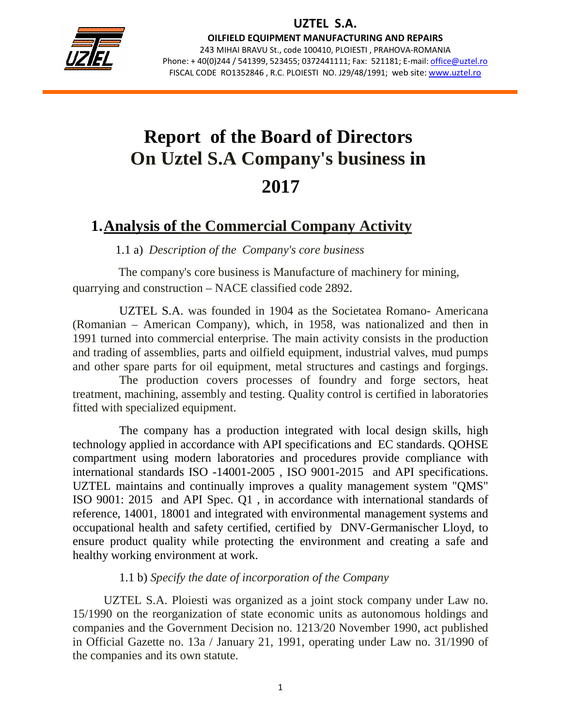

OILFIELD EQUIPMENT MANUFACTURING AND REPAIRS 243 MIHAI BRAVU St., code 100410, PLOIESTI , PRAHOVA-ROMANIA Phone: + 40(0)244 / 541399, 523455; 0372441111; Fax: 521181; E-mail: office@uztel.ro FISCAL CODE RO1352846 , R.C. PLOIESTI NO. J29/48/1991; web site: www.uztel.ro

j

# **Report of the Board of Directors On Uztel S.A Company's business in 2017**

## **1.Analysis of the Commercial Company Activity**

1.1 a) *Description of the Company's core business*

 The company's core business is Manufacture of machinery for mining, quarrying and construction – NACE classified code 2892.

 UZTEL S.A. was founded in 1904 as the Societatea Romano- Americana (Romanian – American Company), which, in 1958, was nationalized and then in 1991 turned into commercial enterprise. The main activity consists in the production and trading of assemblies, parts and oilfield equipment, industrial valves, mud pumps and other spare parts for oil equipment, metal structures and castings and forgings.

 The production covers processes of foundry and forge sectors, heat treatment, machining, assembly and testing. Quality control is certified in laboratories fitted with specialized equipment.

 The company has a production integrated with local design skills, high technology applied in accordance with API specifications and EC standards. QOHSE compartment using modern laboratories and procedures provide compliance with international standards ISO -14001-2005 , ISO 9001-2015 and API specifications. UZTEL maintains and continually improves a quality management system "QMS" ISO 9001: 2015 and API Spec. Q1 , in accordance with international standards of reference, 14001, 18001 and integrated with environmental management systems and occupational health and safety certified, certified by DNV-Germanischer Lloyd, to ensure product quality while protecting the environment and creating a safe and healthy working environment at work.

#### 1.1 b) *Specify the date of incorporation of the Company*

UZTEL S.A. Ploiesti was organized as a joint stock company under Law no. 15/1990 on the reorganization of state economic units as autonomous holdings and companies and the Government Decision no. 1213/20 November 1990, act published in Official Gazette no. 13a / January 21, 1991, operating under Law no. 31/1990 of the companies and its own statute.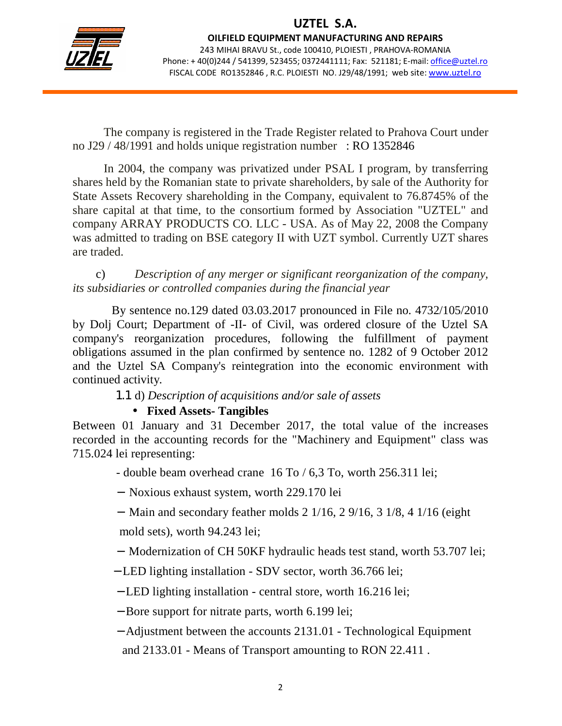

OILFIELD EQUIPMENT MANUFACTURING AND REPAIRS 243 MIHAI BRAVU St., code 100410, PLOIESTI , PRAHOVA-ROMANIA Phone: + 40(0)244 / 541399, 523455; 0372441111; Fax: 521181; E-mail: office@uztel.ro FISCAL CODE RO1352846 , R.C. PLOIESTI NO. J29/48/1991; web site: www.uztel.ro

j

 The company is registered in the Trade Register related to Prahova Court under no J29 / 48/1991 and holds unique registration number : RO 1352846

 In 2004, the company was privatized under PSAL I program, by transferring shares held by the Romanian state to private shareholders, by sale of the Authority for State Assets Recovery shareholding in the Company, equivalent to 76.8745% of the share capital at that time, to the consortium formed by Association "UZTEL" and company ARRAY PRODUCTS CO. LLC - USA. As of May 22, 2008 the Company was admitted to trading on BSE category II with UZT symbol. Currently UZT shares are traded.

c) *Description of any merger or significant reorganization of the company, its subsidiaries or controlled companies during the financial year*

 By sentence no.129 dated 03.03.2017 pronounced in File no. 4732/105/2010 by Dolj Court; Department of -II- of Civil, was ordered closure of the Uztel SA company's reorganization procedures, following the fulfillment of payment obligations assumed in the plan confirmed by sentence no. 1282 of 9 October 2012 and the Uztel SA Company's reintegration into the economic environment with continued activity.

1.1 d) *Description of acquisitions and/or sale of assets* 

#### • **Fixed Assets- Tangibles**

Between 01 January and 31 December 2017, the total value of the increases recorded in the accounting records for the "Machinery and Equipment" class was 715.024 lei representing:

- double beam overhead crane 16 To / 6,3 To, worth 256.311 lei;

- − Noxious exhaust system, worth 229.170 lei
- − Main and secondary feather molds 2 1/16, 2 9/16, 3 1/8, 4 1/16 (eight

mold sets), worth 94.243 lei;

- − Modernization of CH 50KF hydraulic heads test stand, worth 53.707 lei;
- − LED lighting installation SDV sector, worth 36.766 lei;
- − LED lighting installation central store, worth 16.216 lei;
- − Bore support for nitrate parts, worth 6.199 lei;
- − Adjustment between the accounts 2131.01 Technological Equipment
- and 2133.01 Means of Transport amounting to RON 22.411 .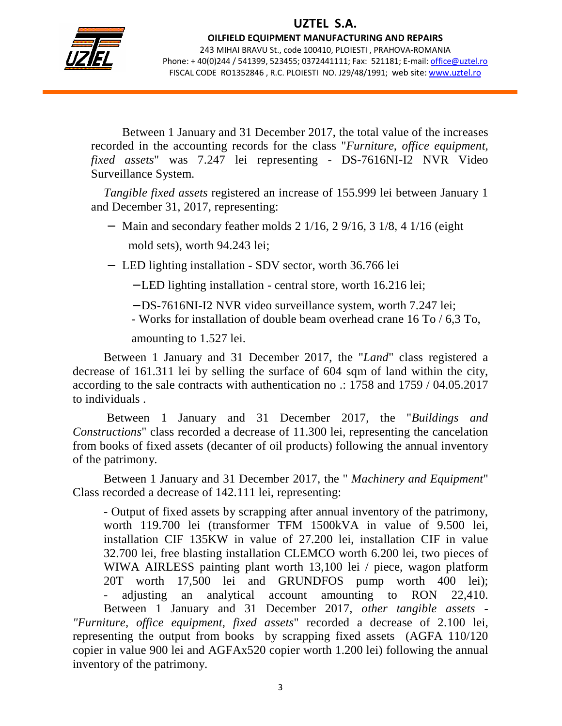

j

243 MIHAI BRAVU St., code 100410, PLOIESTI , PRAHOVA-ROMANIA Phone: + 40(0)244 / 541399, 523455; 0372441111; Fax: 521181; E-mail: office@uztel.ro FISCAL CODE RO1352846 , R.C. PLOIESTI NO. J29/48/1991; web site: www.uztel.ro

 Between 1 January and 31 December 2017, the total value of the increases recorded in the accounting records for the class "*Furniture, office equipment, fixed assets*" was 7.247 lei representing - DS-7616NI-I2 NVR Video Surveillance System.

*Tangible fixed assets* registered an increase of 155.999 lei between January 1 and December 31, 2017, representing:

- − Main and secondary feather molds 2 1/16, 2 9/16, 3 1/8, 4 1/16 (eight mold sets), worth 94.243 lei;
- − LED lighting installation SDV sector, worth 36.766 lei
	- − LED lighting installation central store, worth 16.216 lei;

− DS-7616NI-I2 NVR video surveillance system, worth 7.247 lei;

- Works for installation of double beam overhead crane 16 To / 6,3 To,

amounting to 1.527 lei.

 Between 1 January and 31 December 2017, the "*Land*" class registered a decrease of 161.311 lei by selling the surface of 604 sqm of land within the city, according to the sale contracts with authentication no .: 1758 and 1759 / 04.05.2017 to individuals .

 Between 1 January and 31 December 2017, the "*Buildings and Constructions*" class recorded a decrease of 11.300 lei, representing the cancelation from books of fixed assets (decanter of oil products) following the annual inventory of the patrimony.

 Between 1 January and 31 December 2017, the " *Machinery and Equipment*" Class recorded a decrease of 142.111 lei, representing:

 - Output of fixed assets by scrapping after annual inventory of the patrimony, worth 119.700 lei (transformer TFM 1500kVA in value of 9.500 lei, installation CIF 135KW in value of 27.200 lei, installation CIF in value 32.700 lei, free blasting installation CLEMCO worth 6.200 lei, two pieces of WIWA AIRLESS painting plant worth 13,100 lei / piece, wagon platform 20T worth 17,500 lei and GRUNDFOS pump worth 400 lei); adjusting an analytical account amounting to RON 22,410. Between 1 January and 31 December 2017, *other tangible assets - "Furniture, office equipment, fixed assets*" recorded a decrease of 2.100 lei, representing the output from books by scrapping fixed assets (AGFA 110/120 copier in value 900 lei and AGFAx520 copier worth 1.200 lei) following the annual inventory of the patrimony.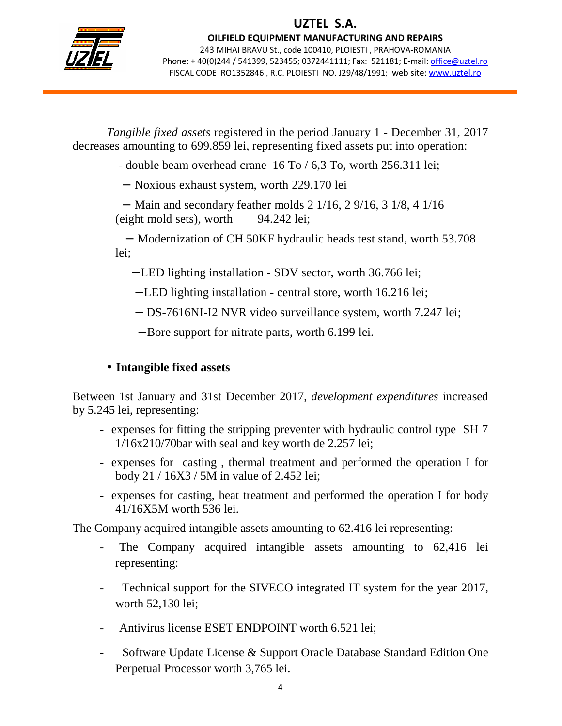

OILFIELD EQUIPMENT MANUFACTURING AND REPAIRS 243 MIHAI BRAVU St., code 100410, PLOIESTI , PRAHOVA-ROMANIA Phone: + 40(0)244 / 541399, 523455; 0372441111; Fax: 521181; E-mail: office@uztel.ro FISCAL CODE RO1352846 , R.C. PLOIESTI NO. J29/48/1991; web site: www.uztel.ro

j

 *Tangible fixed assets* registered in the period January 1 - December 31, 2017 decreases amounting to 699.859 lei, representing fixed assets put into operation:

- double beam overhead crane 16 To / 6,3 To, worth 256.311 lei;

− Noxious exhaust system, worth 229.170 lei

 − Main and secondary feather molds 2 1/16, 2 9/16, 3 1/8, 4 1/16 (eight mold sets), worth 94.242 lei;

 − Modernization of CH 50KF hydraulic heads test stand, worth 53.708 lei;

− LED lighting installation - SDV sector, worth 36.766 lei;

− LED lighting installation - central store, worth 16.216 lei;

− DS-7616NI-I2 NVR video surveillance system, worth 7.247 lei;

− Bore support for nitrate parts, worth 6.199 lei.

## • **Intangible fixed assets**

Between 1st January and 31st December 2017, *development expenditures* increased by 5.245 lei, representing:

- expenses for fitting the stripping preventer with hydraulic control type SH 7 1/16x210/70bar with seal and key worth de 2.257 lei;
- expenses for casting , thermal treatment and performed the operation I for body 21 / 16X3 / 5M in value of 2.452 lei;
- expenses for casting, heat treatment and performed the operation I for body 41/16X5M worth 536 lei.

The Company acquired intangible assets amounting to 62.416 lei representing:

- The Company acquired intangible assets amounting to 62,416 lei representing:
- Technical support for the SIVECO integrated IT system for the year 2017, worth 52,130 lei;
- Antivirus license ESET ENDPOINT worth 6.521 lei;
- Software Update License & Support Oracle Database Standard Edition One Perpetual Processor worth 3,765 lei.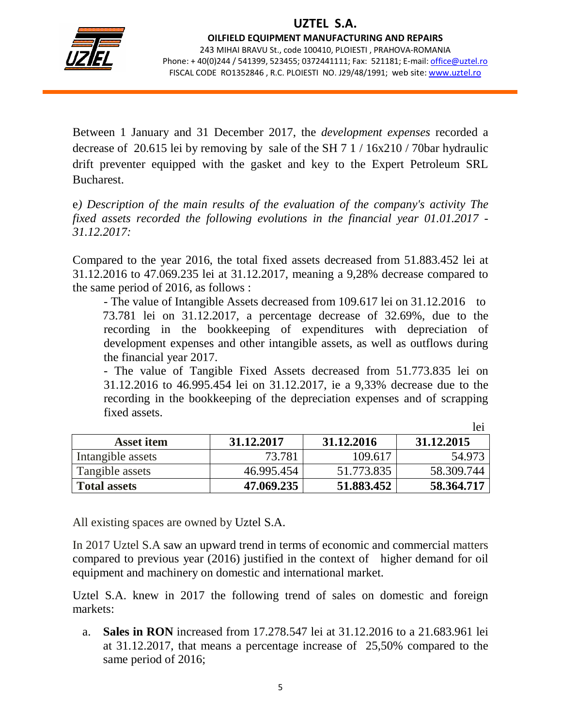

OILFIELD EQUIPMENT MANUFACTURING AND REPAIRS 243 MIHAI BRAVU St., code 100410, PLOIESTI , PRAHOVA-ROMANIA Phone: + 40(0)244 / 541399, 523455; 0372441111; Fax: 521181; E-mail: office@uztel.ro FISCAL CODE RO1352846 , R.C. PLOIESTI NO. J29/48/1991; web site: www.uztel.ro

j

Between 1 January and 31 December 2017, the *development expenses* recorded a decrease of 20.615 lei by removing by sale of the SH 7 1 / 16x210 / 70bar hydraulic drift preventer equipped with the gasket and key to the Expert Petroleum SRL Bucharest.

e*) Description of the main results of the evaluation of the company's activity The fixed assets recorded the following evolutions in the financial year 01.01.2017 - 31.12.2017:* 

Compared to the year 2016, the total fixed assets decreased from 51.883.452 lei at 31.12.2016 to 47.069.235 lei at 31.12.2017, meaning a 9,28% decrease compared to the same period of 2016, as follows :

 - The value of Intangible Assets decreased from 109.617 lei on 31.12.2016 to 73.781 lei on 31.12.2017, a percentage decrease of 32.69%, due to the recording in the bookkeeping of expenditures with depreciation of development expenses and other intangible assets, as well as outflows during the financial year 2017.

 - The value of Tangible Fixed Assets decreased from 51.773.835 lei on 31.12.2016 to 46.995.454 lei on 31.12.2017, ie a 9,33% decrease due to the recording in the bookkeeping of the depreciation expenses and of scrapping fixed assets.

|                     |            |            | lei        |
|---------------------|------------|------------|------------|
| <b>Asset item</b>   | 31.12.2017 | 31.12.2016 | 31.12.2015 |
| Intangible assets   | 73.781     | 109.617    | 54.973     |
| Tangible assets     | 46.995.454 | 51.773.835 | 58.309.744 |
| <b>Total assets</b> | 47.069.235 | 51.883.452 | 58.364.717 |

All existing spaces are owned by Uztel S.A.

In 2017 Uztel S.A saw an upward trend in terms of economic and commercial matters compared to previous year (2016) justified in the context of higher demand for oil equipment and machinery on domestic and international market.

Uztel S.A. knew in 2017 the following trend of sales on domestic and foreign markets:

a. **Sales in RON** increased from 17.278.547 lei at 31.12.2016 to a 21.683.961 lei at 31.12.2017, that means a percentage increase of 25,50% compared to the same period of 2016;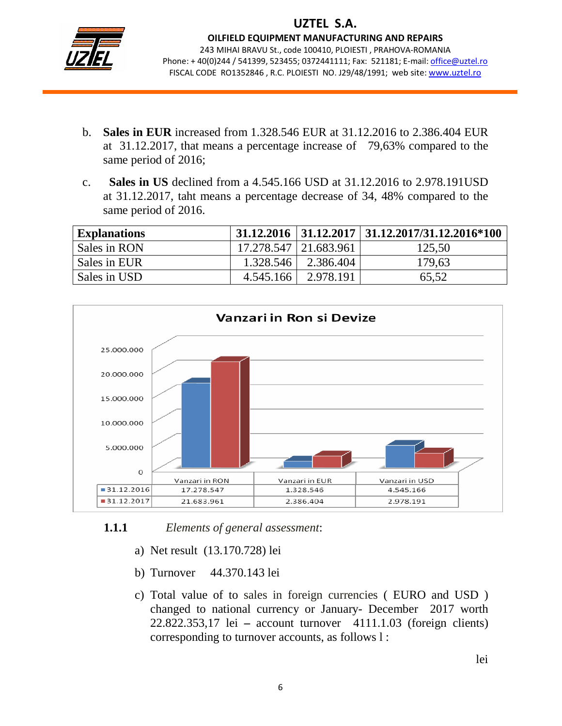

j

- b. **Sales in EUR** increased from 1.328.546 EUR at 31.12.2016 to 2.386.404 EUR at 31.12.2017, that means a percentage increase of 79,63% compared to the same period of 2016;
- c. **Sales in US** declined from a 4.545.166 USD at 31.12.2016 to 2.978.191USD at 31.12.2017, taht means a percentage decrease of 34, 48% compared to the same period of 2016.

| <b>Explanations</b> |                         | $\mid$ 31,12,2016 $\mid$ 31,12,2017 $\mid$ 31,12,2017/31,12,2016*100 |
|---------------------|-------------------------|----------------------------------------------------------------------|
| Sales in RON        | 17.278.547   21.683.961 | 125,50                                                               |
| Sales in EUR        | 1.328.546   2.386.404   | 179,63                                                               |
| Sales in USD        | 4.545.166   2.978.191   | 65,52                                                                |



#### **1.1.1** *Elements of general assessment*:

- a) Net result (13.170.728) lei
- b) Turnover 44.370.143 lei
- c) Total value of to sales in foreign currencies ( EURO and USD ) changed to national currency or January- December 2017 worth 22.822.353,17 lei **–** account turnover 4111.1.03 (foreign clients) corresponding to turnover accounts, as follows l :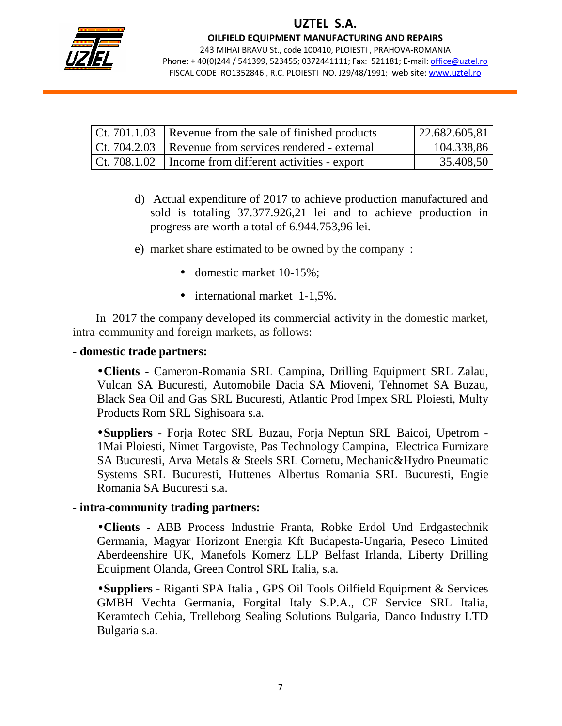

OILFIELD EQUIPMENT MANUFACTURING AND REPAIRS

243 MIHAI BRAVU St., code 100410, PLOIESTI , PRAHOVA-ROMANIA Phone: + 40(0)244 / 541399, 523455; 0372441111; Fax: 521181; E-mail: office@uztel.ro FISCAL CODE RO1352846 , R.C. PLOIESTI NO. J29/48/1991; web site: www.uztel.ro

j

| $\vert$ Ct. 701.1.03 $\vert$ Revenue from the sale of finished products | 22.682.605,81 |
|-------------------------------------------------------------------------|---------------|
| $\vert$ Ct. 704.2.03 $\vert$ Revenue from services rendered - external  | 104.338,86    |
| $\vert$ Ct. 708.1.02 $\vert$ Income from different activities - export  | 35.408,50     |

- d) Actual expenditure of 2017 to achieve production manufactured and sold is totaling 37.377.926,21 lei and to achieve production in progress are worth a total of 6.944.753,96 lei.
- e) market share estimated to be owned by the company :
	- domestic market 10-15%;
	- international market 1-1,5%.

In 2017 the company developed its commercial activity in the domestic market, intra-community and foreign markets, as follows:

#### **- domestic trade partners:**

•**Clients** - Cameron-Romania SRL Campina, Drilling Equipment SRL Zalau, Vulcan SA Bucuresti, Automobile Dacia SA Mioveni, Tehnomet SA Buzau, Black Sea Oil and Gas SRL Bucuresti, Atlantic Prod Impex SRL Ploiesti, Multy Products Rom SRL Sighisoara s.a.

•**Suppliers** - Forja Rotec SRL Buzau, Forja Neptun SRL Baicoi, Upetrom - 1Mai Ploiesti, Nimet Targoviste, Pas Technology Campina, Electrica Furnizare SA Bucuresti, Arva Metals & Steels SRL Cornetu, Mechanic&Hydro Pneumatic Systems SRL Bucuresti, Huttenes Albertus Romania SRL Bucuresti, Engie Romania SA Bucuresti s.a.

#### **- intra-community trading partners:**

•**Clients** - ABB Process Industrie Franta, Robke Erdol Und Erdgastechnik Germania, Magyar Horizont Energia Kft Budapesta-Ungaria, Peseco Limited Aberdeenshire UK, Manefols Komerz LLP Belfast Irlanda, Liberty Drilling Equipment Olanda, Green Control SRL Italia, s.a.

•**Suppliers** - Riganti SPA Italia , GPS Oil Tools Oilfield Equipment & Services GMBH Vechta Germania, Forgital Italy S.P.A., CF Service SRL Italia, Keramtech Cehia, Trelleborg Sealing Solutions Bulgaria, Danco Industry LTD Bulgaria s.a.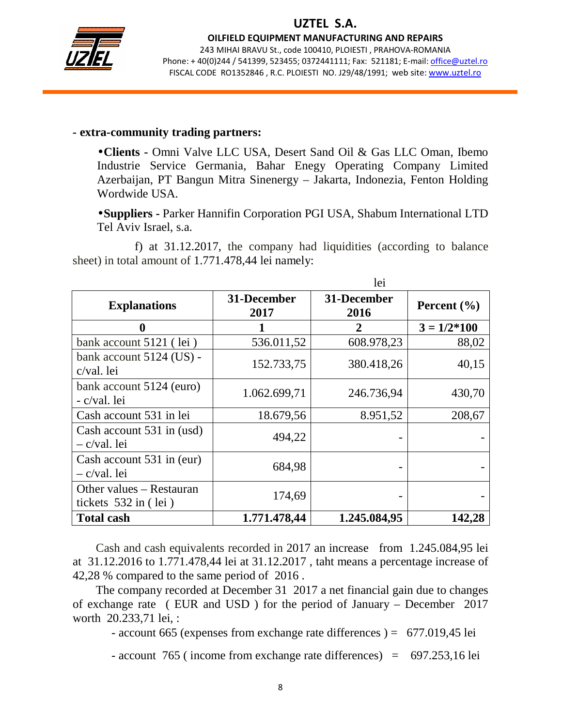

OILFIELD EQUIPMENT MANUFACTURING AND REPAIRS

243 MIHAI BRAVU St., code 100410, PLOIESTI , PRAHOVA-ROMANIA Phone: + 40(0)244 / 541399, 523455; 0372441111; Fax: 521181; E-mail: office@uztel.ro FISCAL CODE RO1352846 , R.C. PLOIESTI NO. J29/48/1991; web site: www.uztel.ro

j

#### **- extra-community trading partners:**

•**Clients -** Omni Valve LLC USA, Desert Sand Oil & Gas LLC Oman, Ibemo Industrie Service Germania, Bahar Enegy Operating Company Limited Azerbaijan, PT Bangun Mitra Sinenergy – Jakarta, Indonezia, Fenton Holding Wordwide USA.

•**Suppliers -** Parker Hannifin Corporation PGI USA, Shabum International LTD Tel Aviv Israel, s.a.

 f) at 31.12.2017, the company had liquidities (according to balance sheet) in total amount of 1.771.478,44 lei namely:

|                                                    |                     | lei                 |                 |
|----------------------------------------------------|---------------------|---------------------|-----------------|
| <b>Explanations</b>                                | 31-December<br>2017 | 31-December<br>2016 | Percent $(\% )$ |
| 0                                                  |                     |                     | $3 = 1/2*100$   |
| bank account 5121 (lei)                            | 536.011,52          | 608.978,23          | 88,02           |
| bank account 5124 (US) -<br>c/val. lei             | 152.733,75          | 380.418,26          | 40,15           |
| bank account 5124 (euro)<br>- c/val. lei           | 1.062.699,71        | 246.736,94          | 430,70          |
| Cash account 531 in lei                            | 18.679,56           | 8.951,52            | 208,67          |
| Cash account 531 in (usd)<br>$-c/val.$ lei         | 494,22              |                     |                 |
| Cash account 531 in (eur)<br>$-c/val.$ lei         | 684,98              |                     |                 |
| Other values – Restauran<br>tickets $532$ in (lei) | 174,69              |                     |                 |
| <b>Total cash</b>                                  | 1.771.478,44        | 1.245.084,95        | 142,28          |

Cash and cash equivalents recorded in 2017 an increase from 1.245.084,95 lei at 31.12.2016 to 1.771.478,44 lei at 31.12.2017 , taht means a percentage increase of 42,28 % compared to the same period of 2016 .

The company recorded at December 31 2017 a net financial gain due to changes of exchange rate ( EUR and USD ) for the period of January – December 2017 worth 20.233,71 lei, :

- account 665 (expenses from exchange rate differences ) = 677.019,45 lei

- account 765 ( income from exchange rate differences) = 697.253,16 lei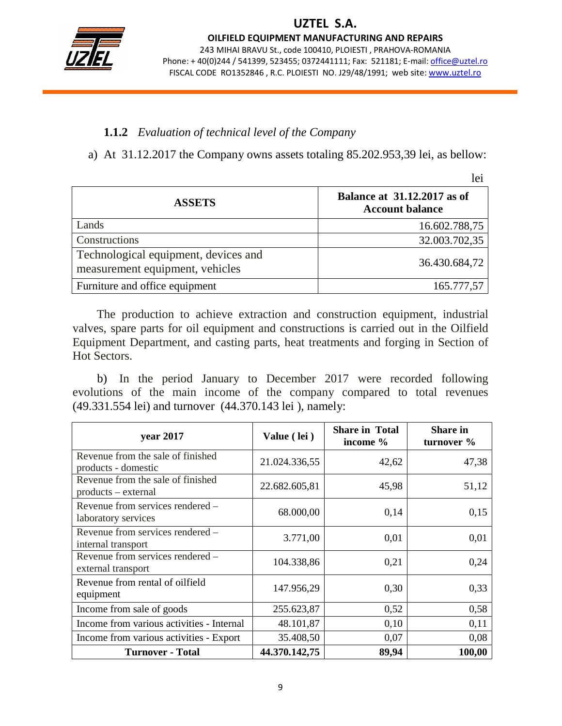

OILFIELD EQUIPMENT MANUFACTURING AND REPAIRS 243 MIHAI BRAVU St., code 100410, PLOIESTI , PRAHOVA-ROMANIA Phone: + 40(0)244 / 541399, 523455; 0372441111; Fax: 521181; E-mail: office@uztel.ro FISCAL CODE RO1352846 , R.C. PLOIESTI NO. J29/48/1991; web site: www.uztel.ro

j

lei

#### **1.1.2** *Evaluation of technical level of the Company*

a) At 31.12.2017 the Company owns assets totaling 85.202.953,39 lei, as bellow:

|                                                                         | iei                                                          |
|-------------------------------------------------------------------------|--------------------------------------------------------------|
| <b>ASSETS</b>                                                           | <b>Balance at 31.12.2017 as of</b><br><b>Account balance</b> |
| Lands                                                                   | 16.602.788,75                                                |
| Constructions                                                           | 32.003.702,35                                                |
| Technological equipment, devices and<br>measurement equipment, vehicles | 36.430.684,72                                                |
| Furniture and office equipment                                          | 165.777,57                                                   |

 The production to achieve extraction and construction equipment, industrial valves, spare parts for oil equipment and constructions is carried out in the Oilfield Equipment Department, and casting parts, heat treatments and forging in Section of Hot Sectors.

b) In the period January to December 2017 were recorded following evolutions of the main income of the company compared to total revenues (49.331.554 lei) and turnover (44.370.143 lei ), namely:

| year 2017                                                  | Value (lei)   | <b>Share in Total</b><br>income % | <b>Share in</b><br>turnover % |
|------------------------------------------------------------|---------------|-----------------------------------|-------------------------------|
| Revenue from the sale of finished<br>products - domestic   | 21.024.336,55 | 42,62                             | 47,38                         |
| Revenue from the sale of finished<br>$products - external$ | 22.682.605,81 | 45,98                             | 51,12                         |
| Revenue from services rendered -<br>laboratory services    | 68.000,00     | 0,14                              | 0,15                          |
| Revenue from services rendered -<br>internal transport     | 3.771,00      | 0,01                              | 0,01                          |
| Revenue from services rendered -<br>external transport     | 104.338,86    | 0,21                              | 0,24                          |
| Revenue from rental of oilfield<br>equipment               | 147.956,29    | 0,30                              | 0,33                          |
| Income from sale of goods                                  | 255.623,87    | 0,52                              | 0,58                          |
| Income from various activities - Internal                  | 48.101,87     | 0,10                              | 0,11                          |
| Income from various activities - Export                    | 35.408,50     | 0,07                              | 0,08                          |
| <b>Turnover - Total</b>                                    | 44.370.142,75 | 89,94                             | 100,00                        |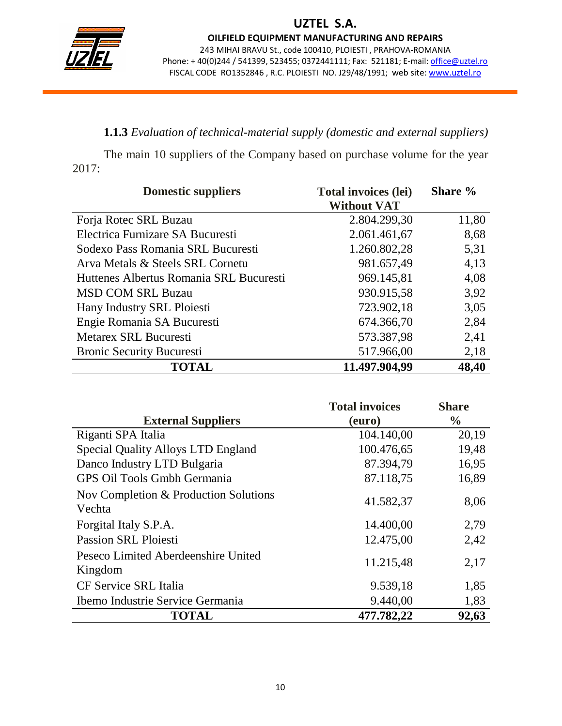

OILFIELD EQUIPMENT MANUFACTURING AND REPAIRS 243 MIHAI BRAVU St., code 100410, PLOIESTI , PRAHOVA-ROMANIA Phone: + 40(0)244 / 541399, 523455; 0372441111; Fax: 521181; E-mail: office@uztel.ro FISCAL CODE RO1352846, R.C. PLOIESTI NO. J29/48/1991; web site: www.uztel.ro

j

#### **1.1.3** *Evaluation of technical-material supply (domestic and external suppliers)*

The main 10 suppliers of the Company based on purchase volume for the year 2017:

| <b>Domestic suppliers</b>               | <b>Total invoices (lei)</b><br><b>Without VAT</b> | Share % |
|-----------------------------------------|---------------------------------------------------|---------|
| Forja Rotec SRL Buzau                   | 2.804.299,30                                      | 11,80   |
| Electrica Furnizare SA Bucuresti        | 2.061.461,67                                      | 8,68    |
| Sodexo Pass Romania SRL Bucuresti       | 1.260.802,28                                      | 5,31    |
| Arva Metals & Steels SRL Cornetu        | 981.657,49                                        | 4,13    |
| Huttenes Albertus Romania SRL Bucuresti | 969.145,81                                        | 4,08    |
| <b>MSD COM SRL Buzau</b>                | 930.915,58                                        | 3,92    |
| Hany Industry SRL Ploiesti              | 723.902,18                                        | 3,05    |
| Engie Romania SA Bucuresti              | 674.366,70                                        | 2,84    |
| <b>Metarex SRL Bucuresti</b>            | 573.387,98                                        | 2,41    |
| <b>Bronic Security Bucuresti</b>        | 517.966,00                                        | 2,18    |
| <b>TOTAL</b>                            | 11.497.904,99                                     | 48,40   |

|                                                 | <b>Total invoices</b> | <b>Share</b>  |
|-------------------------------------------------|-----------------------|---------------|
| <b>External Suppliers</b>                       | (euro)                | $\frac{6}{9}$ |
| Riganti SPA Italia                              | 104.140,00            | 20,19         |
| Special Quality Alloys LTD England              | 100.476,65            | 19,48         |
| Danco Industry LTD Bulgaria                     | 87.394,79             | 16,95         |
| GPS Oil Tools Gmbh Germania                     | 87.118,75             | 16,89         |
| Nov Completion & Production Solutions<br>Vechta | 41.582,37             | 8,06          |
| Forgital Italy S.P.A.                           | 14.400,00             | 2,79          |
| <b>Passion SRL Ploiesti</b>                     | 12.475,00             | 2,42          |
| Peseco Limited Aberdeenshire United<br>Kingdom  | 11.215,48             | 2,17          |
| <b>CF Service SRL Italia</b>                    | 9.539,18              | 1,85          |
| Ibemo Industrie Service Germania                | 9.440,00              | 1,83          |
| <b>TOTAL</b>                                    | 477.782,22            | 92,63         |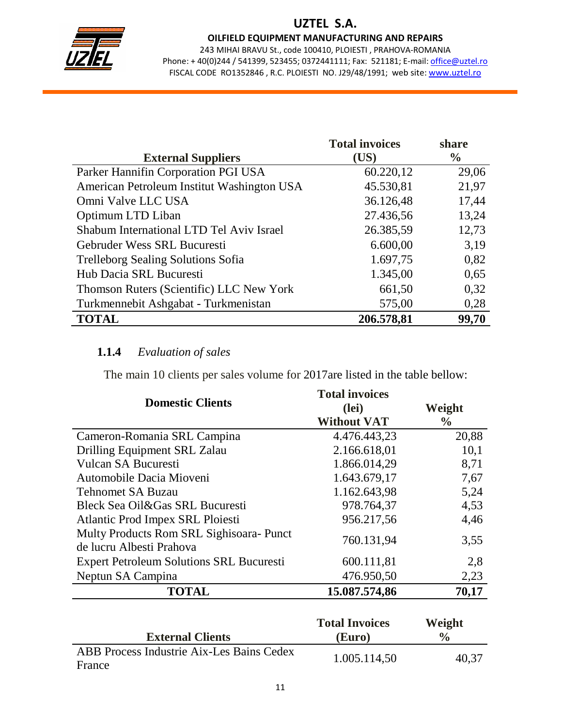

#### OILFIELD EQUIPMENT MANUFACTURING AND REPAIRS

243 MIHAI BRAVU St., code 100410, PLOIESTI , PRAHOVA-ROMANIA Phone: +40(0)244 / 541399, 523455; 0372441111; Fax: 521181; E-mail: office@uztel.ro FISCAL CODE RO1352846 , R.C. PLOIESTI NO. J29/48/1991; web site: www.uztel.ro

j

|                                            | <b>Total invoices</b> | share         |
|--------------------------------------------|-----------------------|---------------|
| <b>External Suppliers</b>                  | (US)                  | $\frac{6}{9}$ |
| Parker Hannifin Corporation PGI USA        | 60.220,12             | 29,06         |
| American Petroleum Institut Washington USA | 45.530,81             | 21,97         |
| Omni Valve LLC USA                         | 36.126,48             | 17,44         |
| Optimum LTD Liban                          | 27.436,56             | 13,24         |
| Shabum International LTD Tel Aviv Israel   | 26.385,59             | 12,73         |
| Gebruder Wess SRL Bucuresti                | 6.600,00              | 3,19          |
| <b>Trelleborg Sealing Solutions Sofia</b>  | 1.697,75              | 0,82          |
| Hub Dacia SRL Bucuresti                    | 1.345,00              | 0,65          |
| Thomson Ruters (Scientific) LLC New York   | 661,50                | 0,32          |
| Turkmennebit Ashgabat - Turkmenistan       | 575,00                | 0,28          |
| <b>TOTAL</b>                               | 206.578,81            | 99,70         |

#### **1.1.4** *Evaluation of sales*

The main 10 clients per sales volume for 2017are listed in the table bellow:

| <b>Domestic Clients</b>                                              | <b>Total invoices</b><br>(lei) | Weight        |
|----------------------------------------------------------------------|--------------------------------|---------------|
|                                                                      | <b>Without VAT</b>             | $\frac{6}{9}$ |
| Cameron-Romania SRL Campina                                          | 4.476.443,23                   | 20,88         |
| Drilling Equipment SRL Zalau                                         | 2.166.618,01                   | 10,1          |
| Vulcan SA Bucuresti                                                  | 1.866.014,29                   | 8,71          |
| Automobile Dacia Mioveni                                             | 1.643.679,17                   | 7,67          |
| <b>Tehnomet SA Buzau</b>                                             | 1.162.643,98                   | 5,24          |
| Bleck Sea Oil&Gas SRL Bucuresti                                      | 978.764,37                     | 4,53          |
| Atlantic Prod Impex SRL Ploiesti                                     | 956.217,56                     | 4,46          |
| Multy Products Rom SRL Sighisoara- Punct<br>de lucru Albesti Prahova | 760.131,94                     | 3,55          |
| <b>Expert Petroleum Solutions SRL Bucuresti</b>                      | 600.111,81                     | 2,8           |
| Neptun SA Campina                                                    | 476.950,50                     | 2,23          |
| <b>TOTAL</b>                                                         | 15.087.574,86                  | 70,17         |

|                                                     | <b>Total Invoices</b> | Weight        |
|-----------------------------------------------------|-----------------------|---------------|
| <b>External Clients</b>                             | (Euro)                | $\frac{0}{0}$ |
| ABB Process Industrie Aix-Les Bains Cedex<br>France | 1.005.114,50          | 40,37         |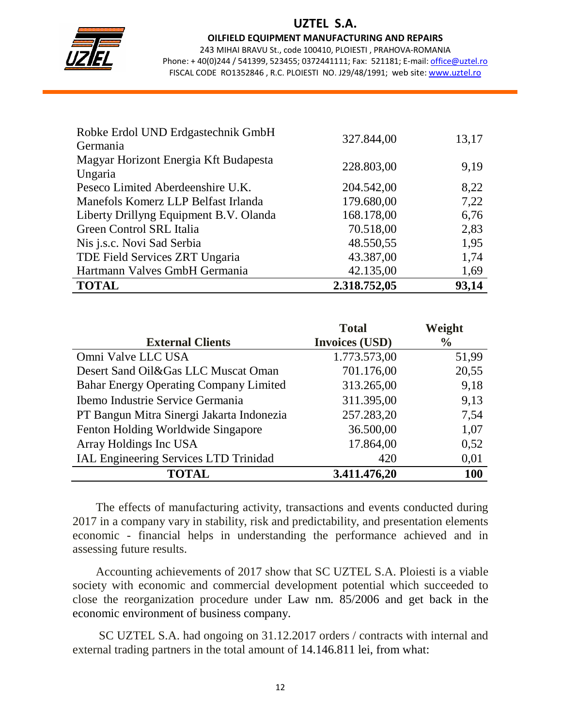

#### OILFIELD EQUIPMENT MANUFACTURING AND REPAIRS

243 MIHAI BRAVU St., code 100410, PLOIESTI , PRAHOVA-ROMANIA Phone: + 40(0)244 / 541399, 523455; 0372441111; Fax: 521181; E-mail: office@uztel.ro FISCAL CODE RO1352846 , R.C. PLOIESTI NO. J29/48/1991; web site: www.uztel.ro

j

| Robke Erdol UND Erdgastechnik GmbH     | 327.844,00   | 13,17 |
|----------------------------------------|--------------|-------|
| Germania                               |              |       |
| Magyar Horizont Energia Kft Budapesta  | 228.803,00   | 9,19  |
| Ungaria                                |              |       |
| Peseco Limited Aberdeenshire U.K.      | 204.542,00   | 8,22  |
| Manefols Komerz LLP Belfast Irlanda    | 179.680,00   | 7,22  |
| Liberty Drillyng Equipment B.V. Olanda | 168.178,00   | 6,76  |
| Green Control SRL Italia               | 70.518,00    | 2,83  |
| Nis j.s.c. Novi Sad Serbia             | 48.550,55    | 1,95  |
| TDE Field Services ZRT Ungaria         | 43.387,00    | 1,74  |
| Hartmann Valves GmbH Germania          | 42.135,00    | 1,69  |
| <b>TOTAL</b>                           | 2.318.752,05 | 93,14 |

|                                              | <b>Total</b>          | Weight        |
|----------------------------------------------|-----------------------|---------------|
| <b>External Clients</b>                      | <b>Invoices (USD)</b> | $\frac{6}{9}$ |
| Omni Valve LLC USA                           | 1.773.573,00          | 51,99         |
| Desert Sand Oil&Gas LLC Muscat Oman          | 701.176,00            | 20,55         |
| Bahar Energy Operating Company Limited       | 313.265,00            | 9,18          |
| Ibemo Industrie Service Germania             | 311.395,00            | 9,13          |
| PT Bangun Mitra Sinergi Jakarta Indonezia    | 257.283,20            | 7,54          |
| Fenton Holding Worldwide Singapore           | 36.500,00             | 1,07          |
| Array Holdings Inc USA                       | 17.864,00             | 0,52          |
| <b>IAL Engineering Services LTD Trinidad</b> | 420                   | 0,01          |
| <b>TOTAL</b>                                 | 3.411.476,20          | 100           |

The effects of manufacturing activity, transactions and events conducted during 2017 in a company vary in stability, risk and predictability, and presentation elements economic - financial helps in understanding the performance achieved and in assessing future results.

Accounting achievements of 2017 show that SC UZTEL S.A. Ploiesti is a viable society with economic and commercial development potential which succeeded to close the reorganization procedure under Law nm. 85/2006 and get back in the economic environment of business company.

SC UZTEL S.A. had ongoing on 31.12.2017 orders / contracts with internal and external trading partners in the total amount of 14.146.811 lei, from what: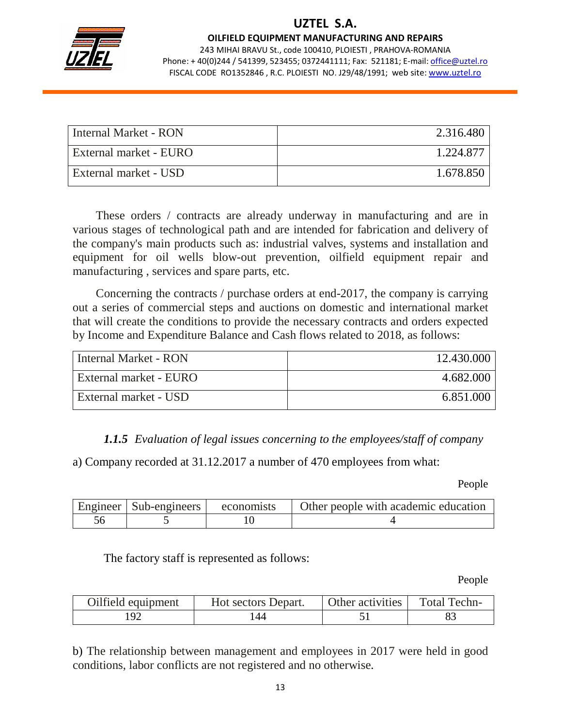

OILFIELD EQUIPMENT MANUFACTURING AND REPAIRS

243 MIHAI BRAVU St., code 100410, PLOIESTI , PRAHOVA-ROMANIA Phone: + 40(0)244 / 541399, 523455; 0372441111; Fax: 521181; E-mail: office@uztel.ro FISCAL CODE RO1352846 , R.C. PLOIESTI NO. J29/48/1991; web site: www.uztel.ro

j

| <b>Internal Market - RON</b>  | 2.316.480 |
|-------------------------------|-----------|
| <b>External market - EURO</b> | 1.224.877 |
| <b>External market - USD</b>  | 1.678.850 |

These orders / contracts are already underway in manufacturing and are in various stages of technological path and are intended for fabrication and delivery of the company's main products such as: industrial valves, systems and installation and equipment for oil wells blow-out prevention, oilfield equipment repair and manufacturing , services and spare parts, etc.

Concerning the contracts / purchase orders at end-2017, the company is carrying out a series of commercial steps and auctions on domestic and international market that will create the conditions to provide the necessary contracts and orders expected by Income and Expenditure Balance and Cash flows related to 2018, as follows:

| Internal Market - RON  | 12.430.000 |
|------------------------|------------|
| External market - EURO | 4.682.000  |
| External market - USD  | 6.851.000  |

*1.1.5 Evaluation of legal issues concerning to the employees/staff of company* 

a) Company recorded at 31.12.2017 a number of 470 employees from what:

People

| $\mid$ Engineer $\mid$ Sub-engineers $\mid$ | economists | Other people with academic education |
|---------------------------------------------|------------|--------------------------------------|
|                                             |            |                                      |

The factory staff is represented as follows:

People

| Oilfield equipment | Hot sectors Depart. | Other activities | Total Techn- |
|--------------------|---------------------|------------------|--------------|
| $\Omega$           | -44                 |                  |              |

b) The relationship between management and employees in 2017 were held in good conditions, labor conflicts are not registered and no otherwise.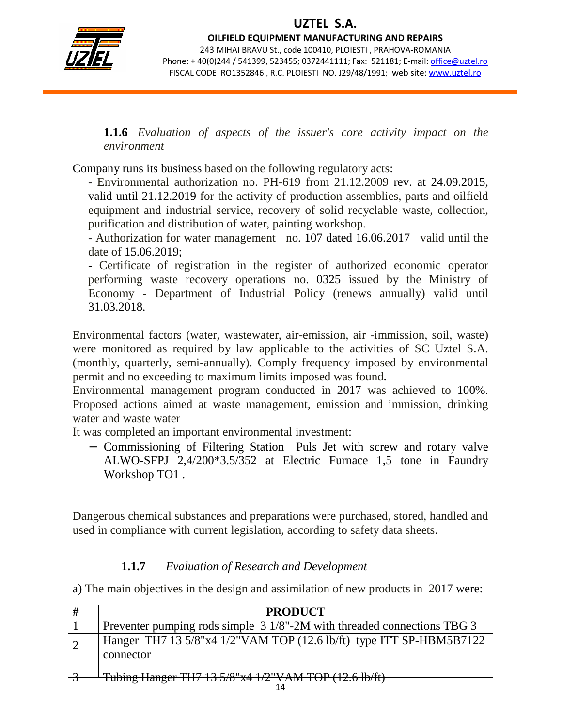

OILFIELD EQUIPMENT MANUFACTURING AND REPAIRS 243 MIHAI BRAVU St., code 100410, PLOIESTI , PRAHOVA-ROMANIA Phone: + 40(0)244 / 541399, 523455; 0372441111; Fax: 521181; E-mail: office@uztel.ro FISCAL CODE RO1352846 , R.C. PLOIESTI NO. J29/48/1991; web site: www.uztel.ro

j

**1.1.6** *Evaluation of aspects of the issuer's core activity impact on the environment* 

Company runs its business based on the following regulatory acts:

- Environmental authorization no. PH-619 from 21.12.2009 rev. at 24.09.2015, valid until 21.12.2019 for the activity of production assemblies, parts and oilfield equipment and industrial service, recovery of solid recyclable waste, collection, purification and distribution of water, painting workshop.

- Authorization for water management no. 107 dated 16.06.2017 valid until the date of 15.06.2019;

- Certificate of registration in the register of authorized economic operator performing waste recovery operations no. 0325 issued by the Ministry of Economy - Department of Industrial Policy (renews annually) valid until 31.03.2018.

Environmental factors (water, wastewater, air-emission, air -immission, soil, waste) were monitored as required by law applicable to the activities of SC Uztel S.A. (monthly, quarterly, semi-annually). Comply frequency imposed by environmental permit and no exceeding to maximum limits imposed was found.

Environmental management program conducted in 2017 was achieved to 100%. Proposed actions aimed at waste management, emission and immission, drinking water and waste water

It was completed an important environmental investment:

− Commissioning of Filtering Station Puls Jet with screw and rotary valve ALWO-SFPJ 2,4/200\*3.5/352 at Electric Furnace 1,5 tone in Faundry Workshop TO1 .

Dangerous chemical substances and preparations were purchased, stored, handled and used in compliance with current legislation, according to safety data sheets.

#### **1.1.7** *Evaluation of Research and Development*

a) The main objectives in the design and assimilation of new products in 2017 were:

| # | <b>PRODUCT</b>                                                                   |
|---|----------------------------------------------------------------------------------|
|   | Preventer pumping rods simple 3 1/8"-2M with threaded connections TBG 3          |
|   | Hanger TH7 13 5/8"x4 1/2"VAM TOP (12.6 lb/ft) type ITT SP-HBM5B7122<br>connector |
|   | Tubing Hanger TH7 13 5/8"x4 1/2"VAM TOP (12.6 lb/ft)                             |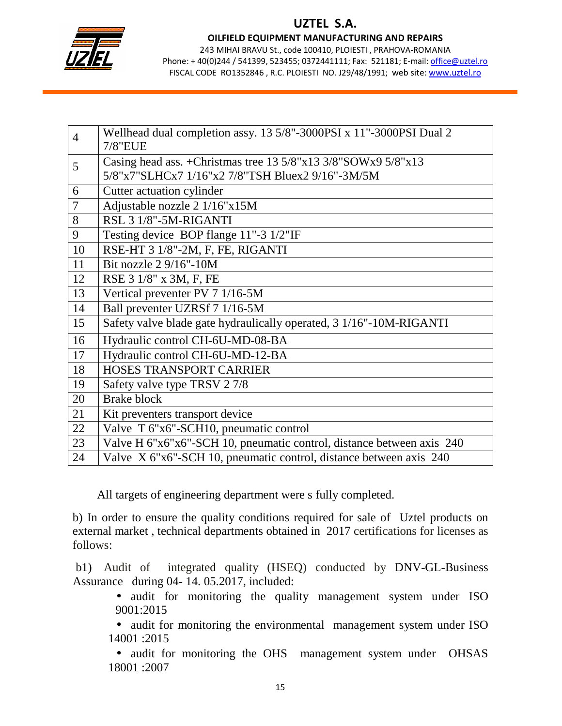

#### OILFIELD EQUIPMENT MANUFACTURING AND REPAIRS

243 MIHAI BRAVU St., code 100410, PLOIESTI , PRAHOVA-ROMANIA Phone: + 40(0)244 / 541399, 523455; 0372441111; Fax: 521181; E-mail: office@uztel.ro FISCAL CODE RO1352846 , R.C. PLOIESTI NO. J29/48/1991; web site: www.uztel.ro

j

| $\overline{4}$ | Wellhead dual completion assy. 13 5/8"-3000PSI x 11"-3000PSI Dual 2<br><b>7/8"EUE</b> |
|----------------|---------------------------------------------------------------------------------------|
| 5              | Casing head ass. +Christmas tree 13 5/8"x13 3/8"SOWx9 5/8"x13                         |
|                | 5/8"x7"SLHCx7 1/16"x2 7/8"TSH Bluex2 9/16"-3M/5M                                      |
| 6              | Cutter actuation cylinder                                                             |
| $\overline{7}$ | Adjustable nozzle 2 1/16"x15M                                                         |
| 8              | RSL 3 1/8"-5M-RIGANTI                                                                 |
| 9              | Testing device BOP flange 11"-3 1/2"IF                                                |
| 10             | RSE-HT 3 1/8"-2M, F, FE, RIGANTI                                                      |
| 11             | Bit nozzle 2 9/16"-10M                                                                |
| 12             | RSE 3 1/8" x 3M, F, FE                                                                |
| 13             | Vertical preventer PV 7 1/16-5M                                                       |
| 14             | Ball preventer UZRSf 7 1/16-5M                                                        |
| 15             | Safety valve blade gate hydraulically operated, 3 1/16"-10M-RIGANTI                   |
| 16             | Hydraulic control CH-6U-MD-08-BA                                                      |
| 17             | Hydraulic control CH-6U-MD-12-BA                                                      |
| 18             | <b>HOSES TRANSPORT CARRIER</b>                                                        |
| 19             | Safety valve type TRSV 27/8                                                           |
| 20             | <b>Brake block</b>                                                                    |
| 21             | Kit preventers transport device                                                       |
| 22             | Valve T 6"x6"-SCH10, pneumatic control                                                |
| 23             | Valve H 6"x6"x6"-SCH 10, pneumatic control, distance between axis 240                 |
| 24             | Valve X 6"x6"-SCH 10, pneumatic control, distance between axis 240                    |

All targets of engineering department were s fully completed.

b) In order to ensure the quality conditions required for sale of Uztel products on external market , technical departments obtained in 2017 certifications for licenses as follows:

 b1) Audit of integrated quality (HSEQ) conducted by DNV-GL-Business Assurance during 04- 14. 05.2017, included:

• audit for monitoring the quality management system under ISO 9001:2015

• audit for monitoring the environmental management system under ISO 14001 :2015

• audit for monitoring the OHS management system under OHSAS 18001 :2007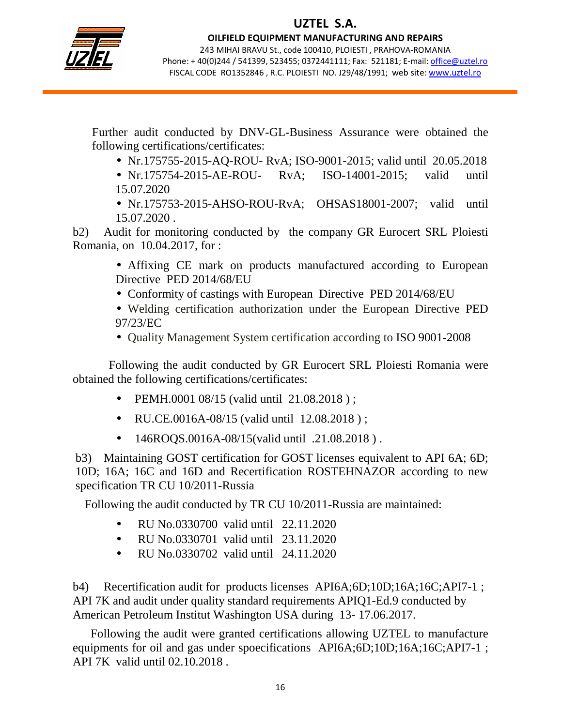

j

Further audit conducted by DNV-GL-Business Assurance were obtained the following certifications/certificates:

- Nr.175755-2015-AQ-ROU- RvA; ISO-9001-2015; valid until 20.05.2018
- Nr.175754-2015-AE-ROU- RvA; ISO-14001-2015; valid until 15.07.2020
- Nr.175753-2015-AHSO-ROU-RvA; OHSAS18001-2007; valid until 15.07.2020 .

b2) Audit for monitoring conducted by the company GR Eurocert SRL Ploiesti Romania, on 10.04.2017, for :

> • Affixing CE mark on products manufactured according to European Directive PED 2014/68/EU

- Conformity of castings with European Directive PED 2014/68/EU
- Welding certification authorization under the European Directive PED 97/23/EC
- Quality Management System certification according to ISO 9001-2008

 Following the audit conducted by GR Eurocert SRL Ploiesti Romania were obtained the following certifications/certificates:

- PEMH.0001 08/15 (valid until 21.08.2018);
- RU.CE.0016A-08/15 (valid until 12.08.2018);
- 146ROQS.0016A-08/15(valid until .21.08.2018 ) .

b3) Maintaining GOST certification for GOST licenses equivalent to API 6A; 6D; 10D; 16A; 16C and 16D and Recertification ROSTEHNAZOR according to new specification TR CU 10/2011-Russia

Following the audit conducted by TR CU 10/2011-Russia are maintained:

- RU No.0330700 valid until 22.11.2020
- RU No.0330701 valid until 23.11.2020
- RU No.0330702 valid until 24.11.2020

b4) Recertification audit for products licenses API6A;6D;10D;16A;16C;API7-1 ; API 7K and audit under quality standard requirements APIQ1-Ed.9 conducted by American Petroleum Institut Washington USA during 13- 17.06.2017.

 Following the audit were granted certifications allowing UZTEL to manufacture equipments for oil and gas under spoecifications API6A;6D;10D;16A;16C;API7-1 ; API 7K valid until 02.10.2018 .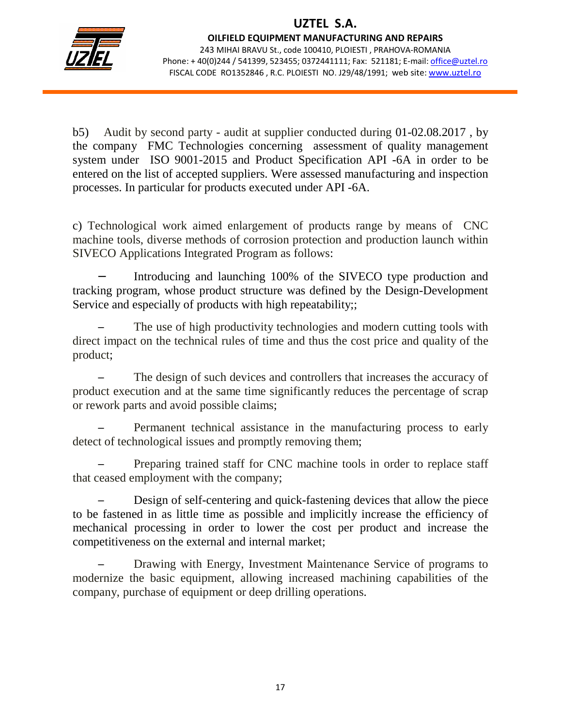

OILFIELD EQUIPMENT MANUFACTURING AND REPAIRS 243 MIHAI BRAVU St., code 100410, PLOIESTI , PRAHOVA-ROMANIA Phone: + 40(0)244 / 541399, 523455; 0372441111; Fax: 521181; E-mail: office@uztel.ro FISCAL CODE RO1352846 , R.C. PLOIESTI NO. J29/48/1991; web site: www.uztel.ro

j

b5) Audit by second party - audit at supplier conducted during 01-02.08.2017 , by the company FMC Technologies concerning assessment of quality management system under ISO 9001-2015 and Product Specification API -6A in order to be entered on the list of accepted suppliers. Were assessed manufacturing and inspection processes. In particular for products executed under API -6A.

c) Technological work aimed enlargement of products range by means of CNC machine tools, diverse methods of corrosion protection and production launch within SIVECO Applications Integrated Program as follows:

Introducing and launching 100% of the SIVECO type production and tracking program, whose product structure was defined by the Design-Development Service and especially of products with high repeatability;;

The use of high productivity technologies and modern cutting tools with direct impact on the technical rules of time and thus the cost price and quality of the product;

The design of such devices and controllers that increases the accuracy of product execution and at the same time significantly reduces the percentage of scrap or rework parts and avoid possible claims;

Permanent technical assistance in the manufacturing process to early detect of technological issues and promptly removing them;

Preparing trained staff for CNC machine tools in order to replace staff that ceased employment with the company;

Design of self-centering and quick-fastening devices that allow the piece to be fastened in as little time as possible and implicitly increase the efficiency of mechanical processing in order to lower the cost per product and increase the competitiveness on the external and internal market;

Drawing with Energy, Investment Maintenance Service of programs to modernize the basic equipment, allowing increased machining capabilities of the company, purchase of equipment or deep drilling operations.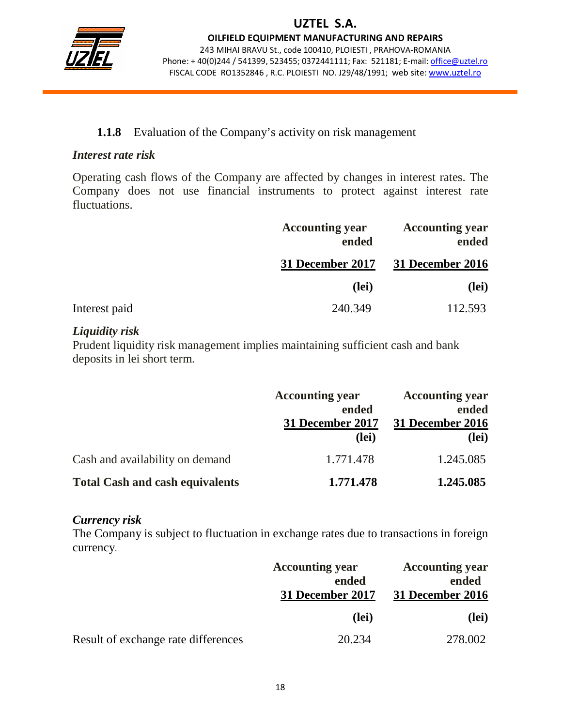

OILFIELD EQUIPMENT MANUFACTURING AND REPAIRS

j

243 MIHAI BRAVU St., code 100410, PLOIESTI , PRAHOVA-ROMANIA Phone: + 40(0)244 / 541399, 523455; 0372441111; Fax: 521181; E-mail: office@uztel.ro FISCAL CODE RO1352846, R.C. PLOIESTI NO. J29/48/1991; web site: www.uztel.ro

#### **1.1.8** Evaluation of the Company's activity on risk management

#### *Interest rate risk*

Operating cash flows of the Company are affected by changes in interest rates. The Company does not use financial instruments to protect against interest rate fluctuations.

|               | <b>Accounting year</b><br>ended | <b>Accounting year</b><br>ended |
|---------------|---------------------------------|---------------------------------|
|               | 31 December 2017                | 31 December 2016                |
|               | (lei)                           | (lei)                           |
| Interest paid | 240.349                         | 112.593                         |

#### *Liquidity risk*

Prudent liquidity risk management implies maintaining sufficient cash and bank deposits in lei short term.

|                                        | <b>Accounting year</b> | <b>Accounting year</b>  |
|----------------------------------------|------------------------|-------------------------|
|                                        | ended                  | ended                   |
|                                        | 31 December 2017       | <b>31 December 2016</b> |
|                                        | (lei)                  | (lei)                   |
| Cash and availability on demand        | 1.771.478              | 1.245.085               |
| <b>Total Cash and cash equivalents</b> | 1.771.478              | 1.245.085               |

#### *Currency risk*

The Company is subject to fluctuation in exchange rates due to transactions in foreign currency.

|                                     | <b>Accounting year</b><br>ended | <b>Accounting year</b><br>ended |
|-------------------------------------|---------------------------------|---------------------------------|
|                                     | 31 December 2017                | 31 December 2016                |
|                                     | (lei)                           | (lei)                           |
| Result of exchange rate differences | 20.234                          | 278.002                         |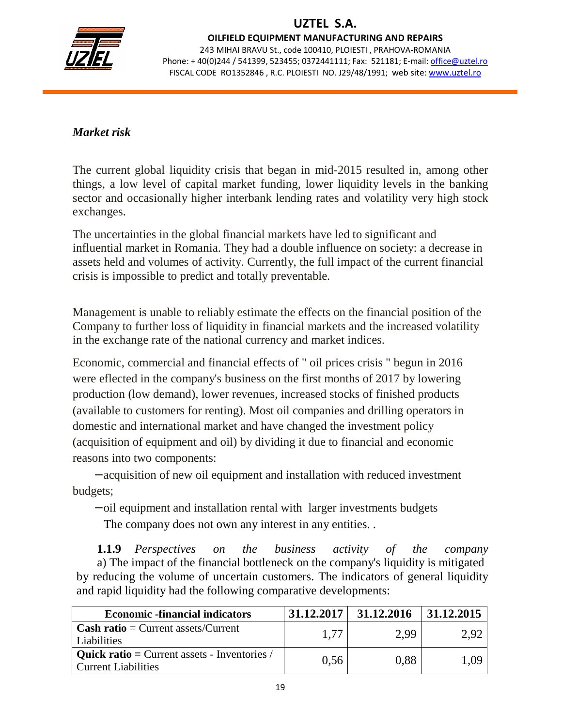

OILFIELD EQUIPMENT MANUFACTURING AND REPAIRS

243 MIHAI BRAVU St., code 100410, PLOIESTI , PRAHOVA-ROMANIA Phone: + 40(0)244 / 541399, 523455; 0372441111; Fax: 521181; E-mail: office@uztel.ro FISCAL CODE RO1352846 , R.C. PLOIESTI NO. J29/48/1991; web site: www.uztel.ro

j

#### *Market risk*

The current global liquidity crisis that began in mid-2015 resulted in, among other things, a low level of capital market funding, lower liquidity levels in the banking sector and occasionally higher interbank lending rates and volatility very high stock exchanges.

The uncertainties in the global financial markets have led to significant and influential market in Romania. They had a double influence on society: a decrease in assets held and volumes of activity. Currently, the full impact of the current financial crisis is impossible to predict and totally preventable.

Management is unable to reliably estimate the effects on the financial position of the Company to further loss of liquidity in financial markets and the increased volatility in the exchange rate of the national currency and market indices.

Economic, commercial and financial effects of " oil prices crisis " begun in 2016 were eflected in the company's business on the first months of 2017 by lowering production (low demand), lower revenues, increased stocks of finished products (available to customers for renting). Most oil companies and drilling operators in domestic and international market and have changed the investment policy (acquisition of equipment and oil) by dividing it due to financial and economic reasons into two components:

 − acquisition of new oil equipment and installation with reduced investment budgets;

 − oil equipment and installation rental with larger investments budgets The company does not own any interest in any entities. .

**1.1.9** *Perspectives on the business activity of the company* a) The impact of the financial bottleneck on the company's liquidity is mitigated by reducing the volume of uncertain customers. The indicators of general liquidity and rapid liquidity had the following comparative developments:

| <b>Economic -financial indicators</b>                                               | 31.12.2017 | $31.12.2016$   $31.12.2015$ |      |
|-------------------------------------------------------------------------------------|------------|-----------------------------|------|
| $\vert$ <b>Cash ratio</b> = Current assets/Current<br>Liabilities                   | 1.77       | 2.99                        | 2.92 |
| $\alpha$ Quick ratio = Current assets - Inventories /<br><b>Current Liabilities</b> | 0.56       | 0.88                        | 1.09 |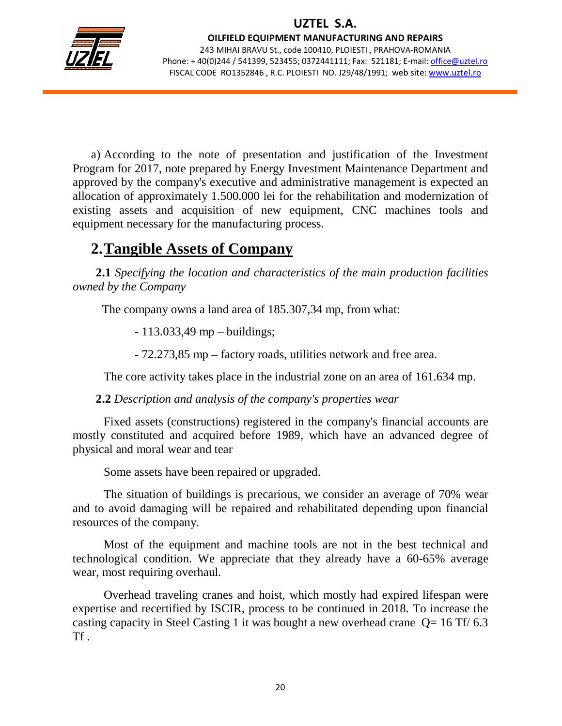

OILFIELD EQUIPMENT MANUFACTURING AND REPAIRS

243 MIHAI BRAVU St., code 100410, PLOIESTI , PRAHOVA-ROMANIA Phone: + 40(0)244 / 541399, 523455; 0372441111; Fax: 521181; E-mail: office@uztel.ro FISCAL CODE RO1352846 , R.C. PLOIESTI NO. J29/48/1991; web site: www.uztel.ro

j

a) According to the note of presentation and justification of the Investment Program for 2017, note prepared by Energy Investment Maintenance Department and approved by the company's executive and administrative management is expected an allocation of approximately 1.500.000 lei for the rehabilitation and modernization of existing assets and acquisition of new equipment, CNC machines tools and equipment necessary for the manufacturing process.

## **2.Tangible Assets of Company**

**2.1** *Specifying the location and characteristics of the main production facilities owned by the Company* 

The company owns a land area of 185.307,34 mp, from what:

- 113.033,49 mp – buildings;

- 72.273,85 mp – factory roads, utilities network and free area.

The core activity takes place in the industrial zone on an area of 161.634 mp.

**2.2** *Description and analysis of the company's properties wear* 

Fixed assets (constructions) registered in the company's financial accounts are mostly constituted and acquired before 1989, which have an advanced degree of physical and moral wear and tear

Some assets have been repaired or upgraded.

The situation of buildings is precarious, we consider an average of 70% wear and to avoid damaging will be repaired and rehabilitated depending upon financial resources of the company.

Most of the equipment and machine tools are not in the best technical and technological condition. We appreciate that they already have a 60-65% average wear, most requiring overhaul.

Overhead traveling cranes and hoist, which mostly had expired lifespan were expertise and recertified by ISCIR, process to be continued in 2018. To increase the casting capacity in Steel Casting 1 it was bought a new overhead crane Q= 16 Tf/ 6.3 Tf .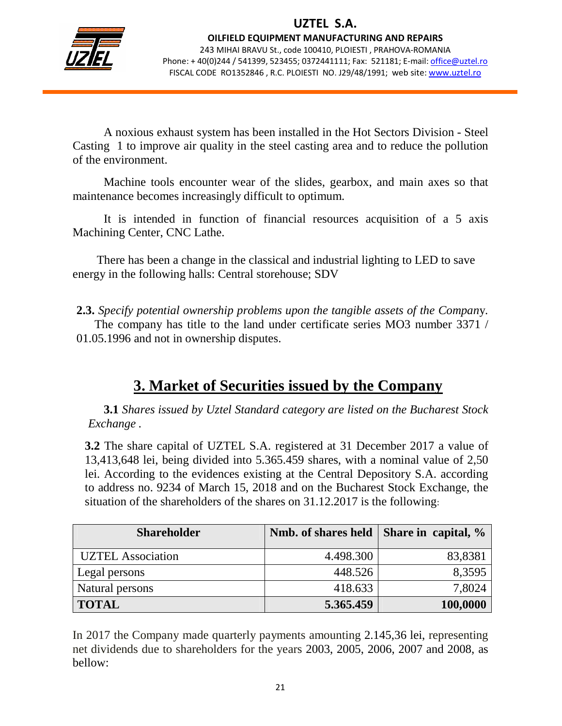

OILFIELD EQUIPMENT MANUFACTURING AND REPAIRS 243 MIHAI BRAVU St., code 100410, PLOIESTI , PRAHOVA-ROMANIA Phone: + 40(0)244 / 541399, 523455; 0372441111; Fax: 521181; E-mail: office@uztel.ro FISCAL CODE RO1352846 , R.C. PLOIESTI NO. J29/48/1991; web site: www.uztel.ro

j

A noxious exhaust system has been installed in the Hot Sectors Division - Steel Casting 1 to improve air quality in the steel casting area and to reduce the pollution of the environment.

Machine tools encounter wear of the slides, gearbox, and main axes so that maintenance becomes increasingly difficult to optimum.

It is intended in function of financial resources acquisition of a 5 axis Machining Center, CNC Lathe.

 There has been a change in the classical and industrial lighting to LED to save energy in the following halls: Central storehouse; SDV

**2.3.** *Specify potential ownership problems upon the tangible assets of the Compan*y. The company has title to the land under certificate series MO3 number 3371 / 01.05.1996 and not in ownership disputes.

## **3. Market of Securities issued by the Company**

 **3.1** *Shares issued by Uztel Standard category are listed on the Bucharest Stock Exchange .* 

**3.2** The share capital of UZTEL S.A. registered at 31 December 2017 a value of 13,413,648 lei, being divided into 5.365.459 shares, with a nominal value of 2,50 lei. According to the evidences existing at the Central Depository S.A. according to address no. 9234 of March 15, 2018 and on the Bucharest Stock Exchange, the situation of the shareholders of the shares on 31.12.2017 is the following:

| <b>Shareholder</b>       | Nmb. of shares held   Share in capital, % |          |
|--------------------------|-------------------------------------------|----------|
| <b>UZTEL</b> Association | 4.498.300                                 | 83,8381  |
| Legal persons            | 448.526                                   | 8,3595   |
| Natural persons          | 418.633                                   | 7,8024   |
| <b>TOTAL</b>             | 5.365.459                                 | 100,0000 |

In 2017 the Company made quarterly payments amounting 2.145,36 lei, representing net dividends due to shareholders for the years 2003, 2005, 2006, 2007 and 2008, as bellow: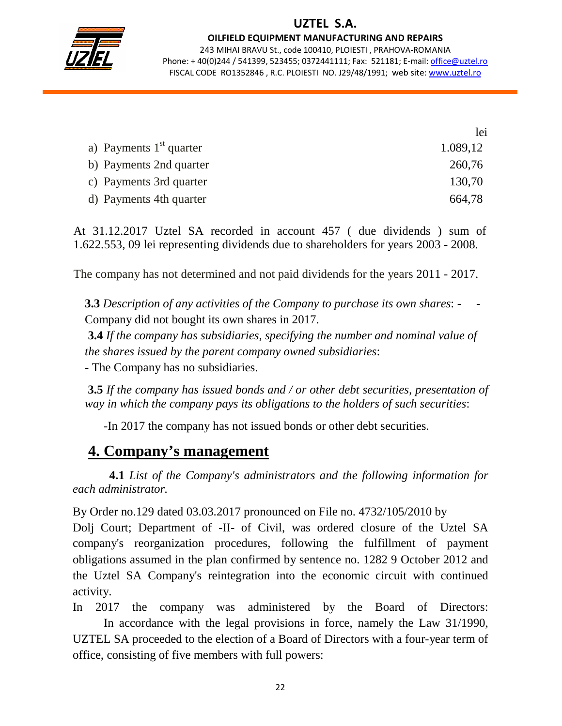

#### OILFIELD EQUIPMENT MANUFACTURING AND REPAIRS

243 MIHAI BRAVU St., code 100410, PLOIESTI , PRAHOVA-ROMANIA Phone: + 40(0)244 / 541399, 523455; 0372441111; Fax: 521181; E-mail: office@uztel.ro FISCAL CODE RO1352846 , R.C. PLOIESTI NO. J29/48/1991; web site: www.uztel.ro

j

|                           | lei      |
|---------------------------|----------|
| a) Payments $1st$ quarter | 1.089,12 |
| b) Payments 2nd quarter   | 260,76   |
| c) Payments 3rd quarter   | 130,70   |
| d) Payments 4th quarter   | 664,78   |

At 31.12.2017 Uztel SA recorded in account 457 ( due dividends ) sum of 1.622.553, 09 lei representing dividends due to shareholders for years 2003 - 2008.

The company has not determined and not paid dividends for the years 2011 - 2017.

**3.3** *Description of any activities of the Company to purchase its own shares*: - - Company did not bought its own shares in 2017.

 **3.4** *If the company has subsidiaries, specifying the number and nominal value of the shares issued by the parent company owned subsidiaries*:

- The Company has no subsidiaries.

 **3.5** *If the company has issued bonds and / or other debt securities, presentation of way in which the company pays its obligations to the holders of such securities*:

-In 2017 the company has not issued bonds or other debt securities.

## **4. Company's management**

**4.1** *List of the Company's administrators and the following information for each administrator.* 

By Order no.129 dated 03.03.2017 pronounced on File no. 4732/105/2010 by

Dolj Court; Department of -II- of Civil, was ordered closure of the Uztel SA company's reorganization procedures, following the fulfillment of payment obligations assumed in the plan confirmed by sentence no. 1282 9 October 2012 and the Uztel SA Company's reintegration into the economic circuit with continued activity.

In 2017 the company was administered by the Board of Directors: In accordance with the legal provisions in force, namely the Law 31/1990, UZTEL SA proceeded to the election of a Board of Directors with a four-year term of office, consisting of five members with full powers: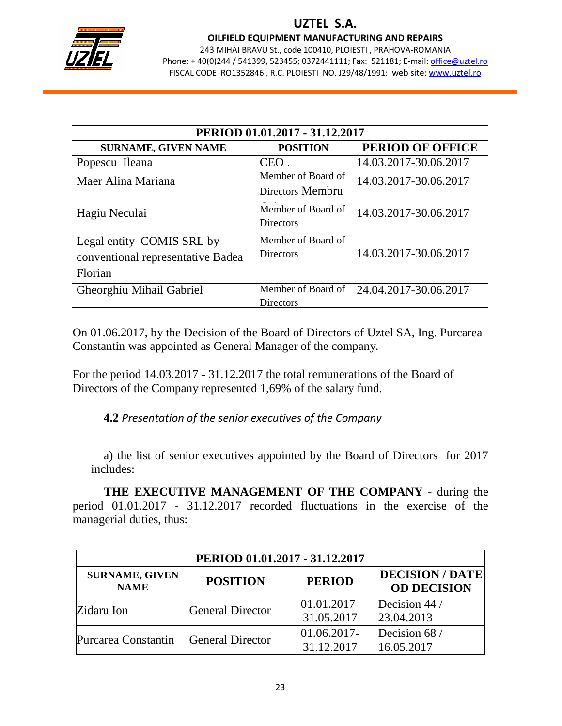

#### OILFIELD EQUIPMENT MANUFACTURING AND REPAIRS

243 MIHAI BRAVU St., code 100410, PLOIESTI , PRAHOVA-ROMANIA Phone: + 40(0)244 / 541399, 523455; 0372441111; Fax: 521181; E-mail: office@uztel.ro FISCAL CODE RO1352846 , R.C. PLOIESTI NO. J29/48/1991; web site: www.uztel.ro

j

| PERIOD 01.01.2017 - 31.12.2017                                            |                                        |                       |  |
|---------------------------------------------------------------------------|----------------------------------------|-----------------------|--|
| <b>SURNAME, GIVEN NAME</b>                                                | <b>POSITION</b>                        | PERIOD OF OFFICE      |  |
| Popescu Ileana                                                            | CEO.                                   | 14.03.2017-30.06.2017 |  |
| Maer Alina Mariana                                                        | Member of Board of<br>Directors Membru | 14.03.2017-30.06.2017 |  |
| Hagiu Neculai                                                             | Member of Board of<br><b>Directors</b> | 14.03.2017-30.06.2017 |  |
| Legal entity COMIS SRL by<br>conventional representative Badea<br>Florian | Member of Board of<br><b>Directors</b> | 14.03.2017-30.06.2017 |  |
| Gheorghiu Mihail Gabriel                                                  | Member of Board of<br>Directors        | 24.04.2017-30.06.2017 |  |

On 01.06.2017, by the Decision of the Board of Directors of Uztel SA, Ing. Purcarea Constantin was appointed as General Manager of the company.

For the period 14.03.2017 - 31.12.2017 the total remunerations of the Board of Directors of the Company represented 1,69% of the salary fund.

**4.2** Presentation of the senior executives of the Company

a) the list of senior executives appointed by the Board of Directors for 2017 includes:

**THE EXECUTIVE MANAGEMENT OF THE COMPANY** - during the period 01.01.2017 - 31.12.2017 recorded fluctuations in the exercise of the managerial duties, thus:

| PERIOD 01.01.2017 - 31.12.2017 |                         |                                              |  |  |
|--------------------------------|-------------------------|----------------------------------------------|--|--|
| <b>POSITION</b>                | <b>PERIOD</b>           | <b>DECISION / DATE</b><br><b>OD DECISION</b> |  |  |
|                                | 01.01.2017-             | Decision 44 /                                |  |  |
| Zidaru Ion                     |                         | 23.04.2013                                   |  |  |
| <b>General Director</b>        | 01.06.2017-             | Decision 68 /<br>16.05.2017                  |  |  |
|                                | <b>General Director</b> | 31.05.2017<br>31.12.2017                     |  |  |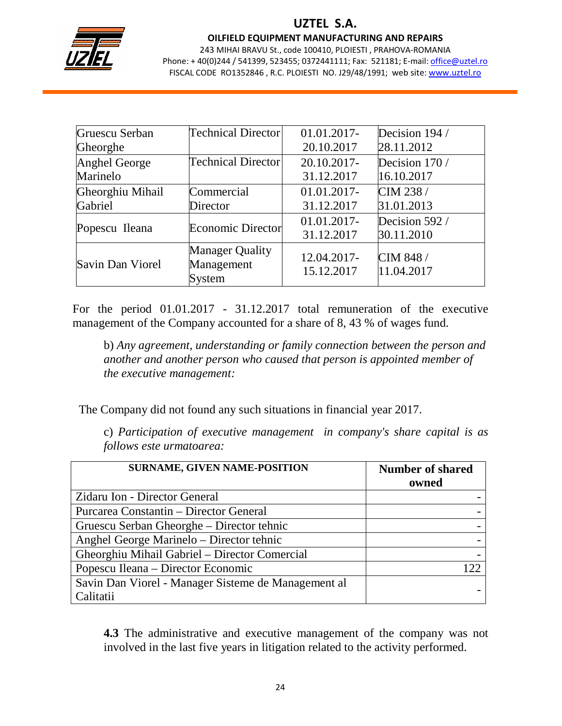

#### OILFIELD EQUIPMENT MANUFACTURING AND REPAIRS

243 MIHAI BRAVU St., code 100410, PLOIESTI , PRAHOVA-ROMANIA Phone: + 40(0)244 / 541399, 523455; 0372441111; Fax: 521181; E-mail: office@uztel.ro FISCAL CODE RO1352846 , R.C. PLOIESTI NO. J29/48/1991; web site: www.uztel.ro

j

| Gruescu Serban   | Technical Director                             | 01.01.2017-               | Decision 194 /          |
|------------------|------------------------------------------------|---------------------------|-------------------------|
| Gheorghe         |                                                | 20.10.2017                | 28.11.2012              |
| Anghel George    | <b>Technical Director</b>                      | 20.10.2017-               | Decision 170 /          |
| Marinelo         |                                                | 31.12.2017                | 16.10.2017              |
| Gheorghiu Mihail | Commercial                                     | 01.01.2017-               | CIM 238 /               |
| Gabriel          | Director                                       | 31.12.2017                | 31.01.2013              |
|                  | <b>Economic Director</b>                       | 01.01.2017-               | Decision 592 /          |
| Popescu Ileana   |                                                | 31.12.2017                | 30.11.2010              |
| Savin Dan Viorel | <b>Manager Quality</b><br>Management<br>System | 12.04.2017-<br>15.12.2017 | CIM 848 /<br>11.04.2017 |

For the period 01.01.2017 - 31.12.2017 total remuneration of the executive management of the Company accounted for a share of 8, 43 % of wages fund.

b) *Any agreement, understanding or family connection between the person and another and another person who caused that person is appointed member of the executive management:* 

The Company did not found any such situations in financial year 2017.

c) *Participation of executive management in company's share capital is as follows este urmatoarea:* 

| <b>SURNAME, GIVEN NAME-POSITION</b>                 | <b>Number of shared</b> |
|-----------------------------------------------------|-------------------------|
|                                                     | owned                   |
| Zidaru Ion - Director General                       |                         |
| Purcarea Constantin – Director General              |                         |
| Gruescu Serban Gheorghe – Director tehnic           |                         |
| Anghel George Marinelo – Director tehnic            |                         |
| Gheorghiu Mihail Gabriel - Director Comercial       |                         |
| Popescu Ileana - Director Economic                  | ר רו                    |
| Savin Dan Viorel - Manager Sisteme de Management al |                         |
| Calitatii                                           |                         |

**4.3** The administrative and executive management of the company was not involved in the last five years in litigation related to the activity performed.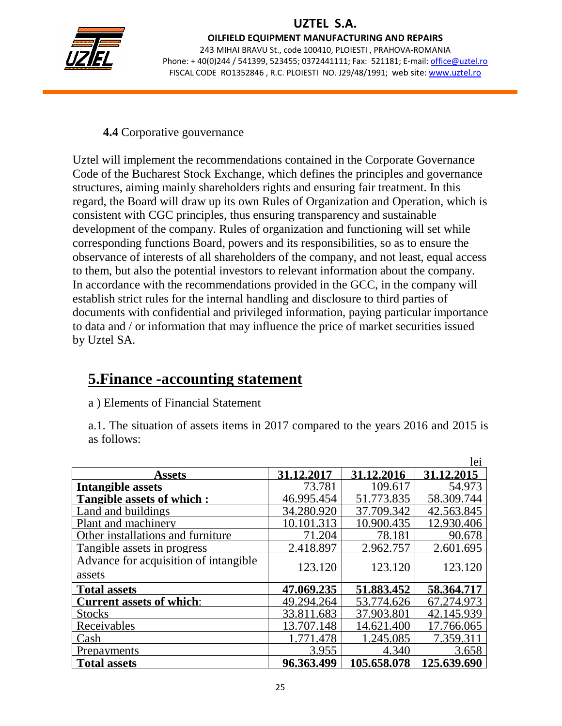

OILFIELD EQUIPMENT MANUFACTURING AND REPAIRS

243 MIHAI BRAVU St., code 100410, PLOIESTI , PRAHOVA-ROMANIA Phone: + 40(0)244 / 541399, 523455; 0372441111; Fax: 521181; E-mail: office@uztel.ro FISCAL CODE RO1352846 , R.C. PLOIESTI NO. J29/48/1991; web site: www.uztel.ro

j

#### **4.4** Corporative gouvernance

Uztel will implement the recommendations contained in the Corporate Governance Code of the Bucharest Stock Exchange, which defines the principles and governance structures, aiming mainly shareholders rights and ensuring fair treatment. In this regard, the Board will draw up its own Rules of Organization and Operation, which is consistent with CGC principles, thus ensuring transparency and sustainable development of the company. Rules of organization and functioning will set while corresponding functions Board, powers and its responsibilities, so as to ensure the observance of interests of all shareholders of the company, and not least, equal access to them, but also the potential investors to relevant information about the company. In accordance with the recommendations provided in the GCC, in the company will establish strict rules for the internal handling and disclosure to third parties of documents with confidential and privileged information, paying particular importance to data and / or information that may influence the price of market securities issued by Uztel SA.

## **5.Finance -accounting statement**

a ) Elements of Financial Statement

a.1. The situation of assets items in 2017 compared to the years 2016 and 2015 is as follows:

|                                       |            |             | lei         |
|---------------------------------------|------------|-------------|-------------|
| Assets                                | 31.12.2017 | 31.12.2016  | 31.12.2015  |
| <b>Intangible assets</b>              | 73.781     | 109.617     | 54.973      |
| <b>Tangible assets of which:</b>      | 46.995.454 | 51.773.835  | 58.309.744  |
| <b>Land and buildings</b>             | 34.280.920 | 37.709.342  | 42.563.845  |
| Plant and machinery                   | 10.101.313 | 10.900.435  | 12.930.406  |
| Other installations and furniture     | 71.204     | 78.181      | 90.678      |
| Tangible assets in progress           | 2.418.897  | 2.962.757   | 2.601.695   |
| Advance for acquisition of intangible | 123.120    | 123.120     | 123.120     |
| assets                                |            |             |             |
| <b>Total assets</b>                   | 47.069.235 | 51.883.452  | 58.364.717  |
| <b>Current assets of which:</b>       | 49.294.264 | 53.774.626  | 67.274.973  |
| <b>Stocks</b>                         | 33.811.683 | 37.903.801  | 42.145.939  |
| Receivables                           | 13.707.148 | 14.621.400  | 17.766.065  |
| Cash                                  | 1.771.478  | 1.245.085   | 7.359.311   |
| Prepayments                           | 3.955      | 4.340       | 3.658       |
| <b>Total assets</b>                   | 96.363.499 | 105.658.078 | 125.639.690 |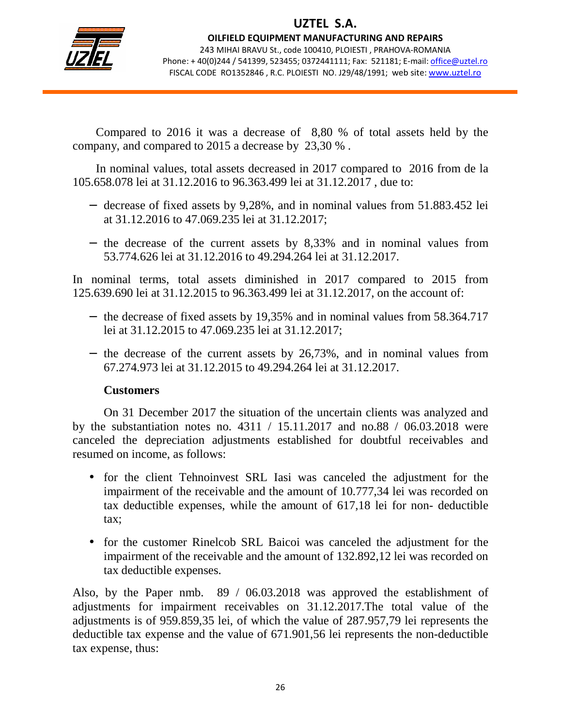

OILFIELD EQUIPMENT MANUFACTURING AND REPAIRS 243 MIHAI BRAVU St., code 100410, PLOIESTI , PRAHOVA-ROMANIA Phone: + 40(0)244 / 541399, 523455; 0372441111; Fax: 521181; E-mail: office@uztel.ro FISCAL CODE RO1352846 , R.C. PLOIESTI NO. J29/48/1991; web site: www.uztel.ro

j

Compared to 2016 it was a decrease of 8,80 % of total assets held by the company, and compared to 2015 a decrease by 23,30 % .

In nominal values, total assets decreased in 2017 compared to 2016 from de la 105.658.078 lei at 31.12.2016 to 96.363.499 lei at 31.12.2017 , due to:

- − decrease of fixed assets by 9,28%, and in nominal values from 51.883.452 lei at 31.12.2016 to 47.069.235 lei at 31.12.2017;
- − the decrease of the current assets by 8,33% and in nominal values from 53.774.626 lei at 31.12.2016 to 49.294.264 lei at 31.12.2017.

In nominal terms, total assets diminished in 2017 compared to 2015 from 125.639.690 lei at 31.12.2015 to 96.363.499 lei at 31.12.2017, on the account of:

- − the decrease of fixed assets by 19,35% and in nominal values from 58.364.717 lei at 31.12.2015 to 47.069.235 lei at 31.12.2017;
- − the decrease of the current assets by 26,73%, and in nominal values from 67.274.973 lei at 31.12.2015 to 49.294.264 lei at 31.12.2017.

#### **Customers**

 On 31 December 2017 the situation of the uncertain clients was analyzed and by the substantiation notes no. 4311 / 15.11.2017 and no.88 / 06.03.2018 were canceled the depreciation adjustments established for doubtful receivables and resumed on income, as follows:

- for the client Tehnoinvest SRL Iasi was canceled the adjustment for the impairment of the receivable and the amount of 10.777,34 lei was recorded on tax deductible expenses, while the amount of 617,18 lei for non- deductible tax;
- for the customer Rinelcob SRL Baicoi was canceled the adjustment for the impairment of the receivable and the amount of 132.892,12 lei was recorded on tax deductible expenses.

Also, by the Paper nmb. 89 / 06.03.2018 was approved the establishment of adjustments for impairment receivables on 31.12.2017.The total value of the adjustments is of 959.859,35 lei, of which the value of 287.957,79 lei represents the deductible tax expense and the value of 671.901,56 lei represents the non-deductible tax expense, thus: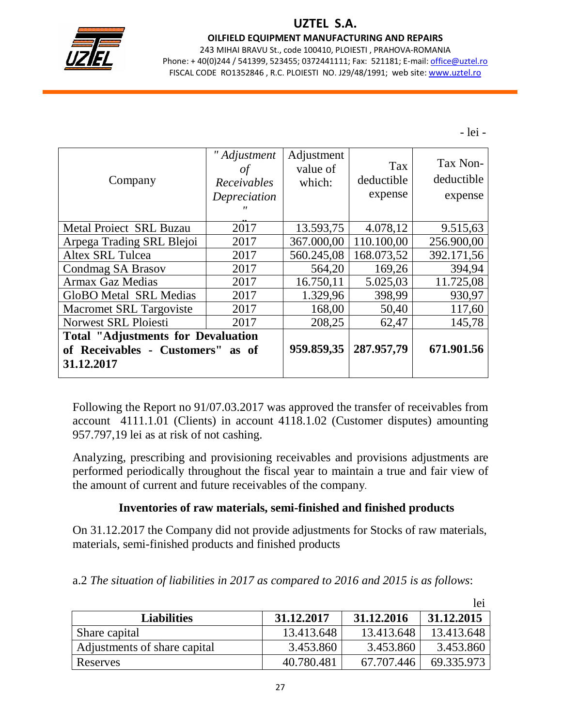

#### OILFIELD EQUIPMENT MANUFACTURING AND REPAIRS

243 MIHAI BRAVU St., code 100410, PLOIESTI , PRAHOVA-ROMANIA Phone: + 40(0)244 / 541399, 523455; 0372441111; Fax: 521181; E-mail: office@uztel.ro FISCAL CODE RO1352846, R.C. PLOIESTI NO. J29/48/1991; web site: www.uztel.ro

j

- lei -

| Company                                                                                        | " Adjustment<br>οf<br>Receivables<br>Depreciation | Adjustment<br>value of<br>which: | <b>Tax</b><br>deductible<br>expense | Tax Non-<br>deductible<br>expense |
|------------------------------------------------------------------------------------------------|---------------------------------------------------|----------------------------------|-------------------------------------|-----------------------------------|
| <b>Metal Project SRL Buzau</b>                                                                 | 2017                                              | 13.593,75                        | 4.078,12                            | 9.515,63                          |
| Arpega Trading SRL Blejoi                                                                      | 2017                                              | 367.000,00                       | 110.100,00                          | 256.900,00                        |
| <b>Altex SRL Tulcea</b>                                                                        | 2017                                              | 560.245,08                       | 168.073,52                          | 392.171,56                        |
| Condmag SA Brasov                                                                              | 2017                                              | 564,20                           | 169,26                              | 394,94                            |
| <b>Armax Gaz Medias</b>                                                                        | 2017                                              | 16.750,11                        | 5.025,03                            | 11.725,08                         |
| <b>GloBO</b> Metal SRL Medias                                                                  | 2017                                              | 1.329,96                         | 398,99                              | 930,97                            |
| <b>Macromet SRL Targoviste</b>                                                                 | 2017                                              | 168,00                           | 50,40                               | 117,60                            |
| Norwest SRL Ploiesti                                                                           | 2017                                              | 208,25                           | 62,47                               | 145,78                            |
| <b>Total "Adjustments for Devaluation"</b><br>of Receivables - Customers'' as of<br>31.12.2017 |                                                   | 959.859,35                       | 287.957,79                          | 671.901.56                        |

Following the Report no 91/07.03.2017 was approved the transfer of receivables from account 4111.1.01 (Clients) in account 4118.1.02 (Customer disputes) amounting 957.797,19 lei as at risk of not cashing.

Analyzing, prescribing and provisioning receivables and provisions adjustments are performed periodically throughout the fiscal year to maintain a true and fair view of the amount of current and future receivables of the company.

#### **Inventories of raw materials, semi-finished and finished products**

On 31.12.2017 the Company did not provide adjustments for Stocks of raw materials, materials, semi-finished products and finished products

#### a.2 *The situation of liabilities in 2017 as compared to 2016 and 2015 is as follows*:

|                              |            |            | lei        |
|------------------------------|------------|------------|------------|
| <b>Liabilities</b>           | 31.12.2017 | 31.12.2016 | 31.12.2015 |
| Share capital                | 13.413.648 | 13.413.648 | 13.413.648 |
| Adjustments of share capital | 3.453.860  | 3.453.860  | 3.453.860  |
| Reserves                     | 40.780.481 | 67.707.446 | 69.335.973 |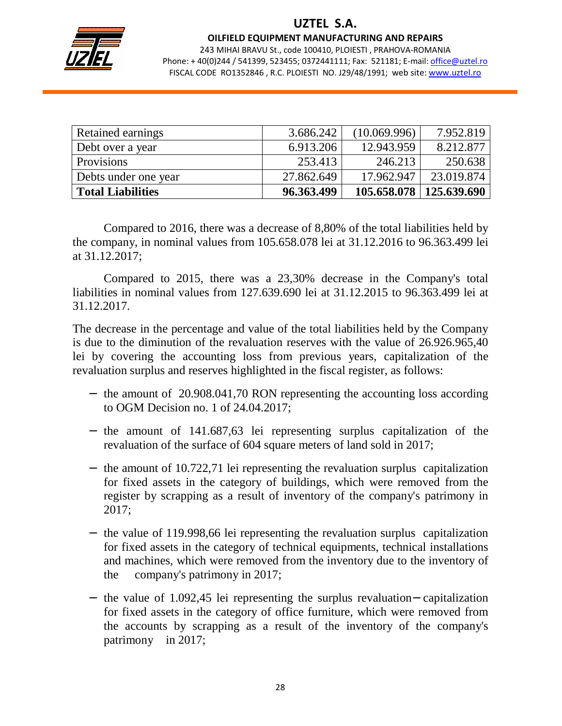

#### OILFIELD EQUIPMENT MANUFACTURING AND REPAIRS

243 MIHAI BRAVU St., code 100410, PLOIESTI , PRAHOVA-ROMANIA Phone: + 40(0)244 / 541399, 523455; 0372441111; Fax: 521181; E-mail: office@uztel.ro FISCAL CODE RO1352846 , R.C. PLOIESTI NO. J29/48/1991; web site: www.uztel.ro

j

| Retained earnings        | 3.686.242  | (10.069.996)              | 7.952.819  |
|--------------------------|------------|---------------------------|------------|
| Debt over a year         | 6.913.206  | 12.943.959                | 8.212.877  |
| <b>Provisions</b>        | 253.413    | 246.213                   | 250.638    |
| Debts under one year     | 27.862.649 | 17.962.947                | 23.019.874 |
| <b>Total Liabilities</b> | 96.363.499 | 105.658.078   125.639.690 |            |

Compared to 2016, there was a decrease of 8,80% of the total liabilities held by the company, in nominal values from 105.658.078 lei at 31.12.2016 to 96.363.499 lei at 31.12.2017;

 Compared to 2015, there was a 23,30% decrease in the Company's total liabilities in nominal values from 127.639.690 lei at 31.12.2015 to 96.363.499 lei at 31.12.2017.

The decrease in the percentage and value of the total liabilities held by the Company is due to the diminution of the revaluation reserves with the value of 26.926.965,40 lei by covering the accounting loss from previous years, capitalization of the revaluation surplus and reserves highlighted in the fiscal register, as follows:

- − the amount of 20.908.041,70 RON representing the accounting loss according to OGM Decision no. 1 of 24.04.2017;
- − the amount of 141.687,63 lei representing surplus capitalization of the revaluation of the surface of 604 square meters of land sold in 2017;
- − the amount of 10.722,71 lei representing the revaluation surplus capitalization for fixed assets in the category of buildings, which were removed from the register by scrapping as a result of inventory of the company's patrimony in 2017;
- − the value of 119.998,66 lei representing the revaluation surplus capitalization for fixed assets in the category of technical equipments, technical installations and machines, which were removed from the inventory due to the inventory of the company's patrimony in 2017;
- − the value of 1.092,45 lei representing the surplus revaluation− capitalization for fixed assets in the category of office furniture, which were removed from the accounts by scrapping as a result of the inventory of the company's patrimony in 2017;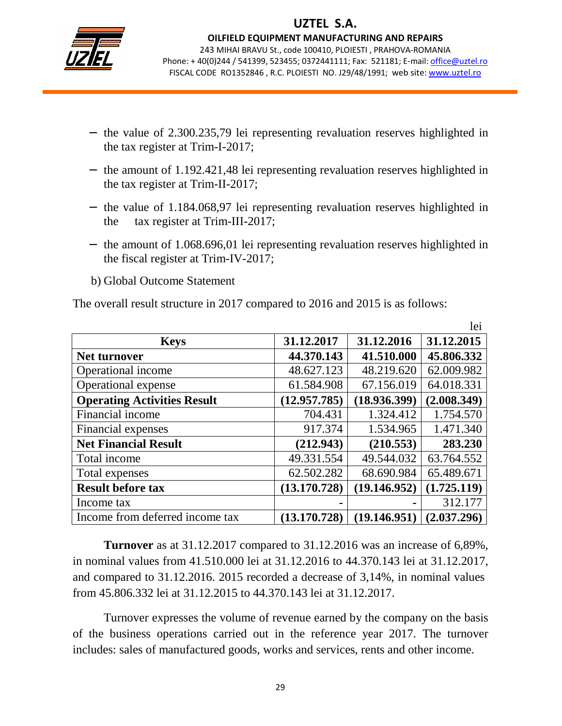

OILFIELD EQUIPMENT MANUFACTURING AND REPAIRS

243 MIHAI BRAVU St., code 100410, PLOIESTI , PRAHOVA-ROMANIA Phone: + 40(0)244 / 541399, 523455; 0372441111; Fax: 521181; E-mail: office@uztel.ro FISCAL CODE RO1352846 , R.C. PLOIESTI NO. J29/48/1991; web site: www.uztel.ro

j

- − the value of 2.300.235,79 lei representing revaluation reserves highlighted in the tax register at Trim-I-2017;
- − the amount of 1.192.421,48 lei representing revaluation reserves highlighted in the tax register at Trim-II-2017;
- − the value of 1.184.068,97 lei representing revaluation reserves highlighted in the tax register at Trim-III-2017;
- − the amount of 1.068.696,01 lei representing revaluation reserves highlighted in the fiscal register at Trim-IV-2017;
- b) Global Outcome Statement

The overall result structure in 2017 compared to 2016 and 2015 is as follows:

|                                    |              |              | lei         |
|------------------------------------|--------------|--------------|-------------|
| <b>Keys</b>                        | 31.12.2017   | 31.12.2016   | 31.12.2015  |
| Net turnover                       | 44.370.143   | 41.510.000   | 45.806.332  |
| Operational income                 | 48.627.123   | 48.219.620   | 62.009.982  |
| Operational expense                | 61.584.908   | 67.156.019   | 64.018.331  |
| <b>Operating Activities Result</b> | (12.957.785) | (18.936.399) | (2.008.349) |
| Financial income                   | 704.431      | 1.324.412    | 1.754.570   |
| Financial expenses                 | 917.374      | 1.534.965    | 1.471.340   |
| <b>Net Financial Result</b>        | (212.943)    | (210.553)    | 283.230     |
| Total income                       | 49.331.554   | 49.544.032   | 63.764.552  |
| Total expenses                     | 62.502.282   | 68.690.984   | 65.489.671  |
| <b>Result before tax</b>           | (13.170.728) | (19.146.952) | (1.725.119) |
| Income tax                         |              |              | 312.177     |
| Income from deferred income tax    | (13.170.728) | (19.146.951) | (2.037.296) |

 **Turnover** as at 31.12.2017 compared to 31.12.2016 was an increase of 6,89%, in nominal values from 41.510.000 lei at 31.12.2016 to 44.370.143 lei at 31.12.2017, and compared to 31.12.2016. 2015 recorded a decrease of 3,14%, in nominal values from 45.806.332 lei at 31.12.2015 to 44.370.143 lei at 31.12.2017.

 Turnover expresses the volume of revenue earned by the company on the basis of the business operations carried out in the reference year 2017. The turnover includes: sales of manufactured goods, works and services, rents and other income.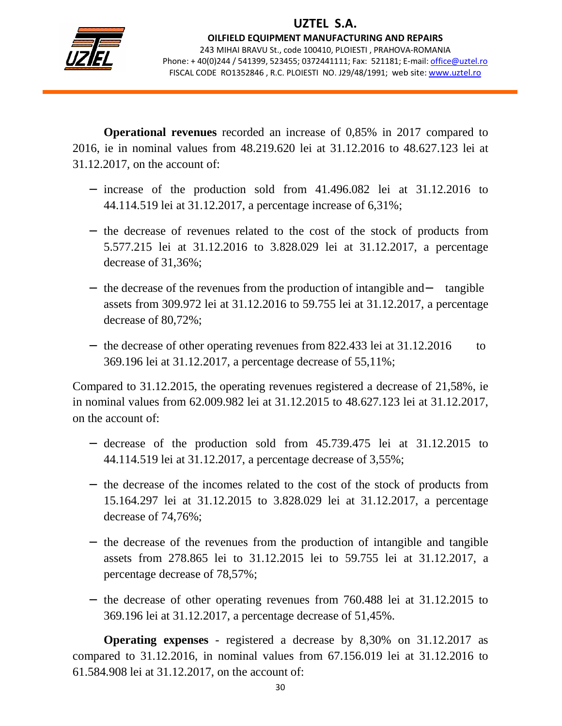

j

 **Operational revenues** recorded an increase of 0,85% in 2017 compared to 2016, ie in nominal values from 48.219.620 lei at 31.12.2016 to 48.627.123 lei at 31.12.2017, on the account of:

- − increase of the production sold from 41.496.082 lei at 31.12.2016 to 44.114.519 lei at 31.12.2017, a percentage increase of 6,31%;
- − the decrease of revenues related to the cost of the stock of products from 5.577.215 lei at 31.12.2016 to 3.828.029 lei at 31.12.2017, a percentage decrease of 31,36%;
- − the decrease of the revenues from the production of intangible and− tangible assets from 309.972 lei at 31.12.2016 to 59.755 lei at 31.12.2017, a percentage decrease of 80,72%;
- − the decrease of other operating revenues from 822.433 lei at 31.12.2016 to 369.196 lei at 31.12.2017, a percentage decrease of 55,11%;

Compared to 31.12.2015, the operating revenues registered a decrease of 21,58%, ie in nominal values from 62.009.982 lei at 31.12.2015 to 48.627.123 lei at 31.12.2017, on the account of:

- − decrease of the production sold from 45.739.475 lei at 31.12.2015 to 44.114.519 lei at 31.12.2017, a percentage decrease of 3,55%;
- − the decrease of the incomes related to the cost of the stock of products from 15.164.297 lei at 31.12.2015 to 3.828.029 lei at 31.12.2017, a percentage decrease of 74,76%;
- − the decrease of the revenues from the production of intangible and tangible assets from 278.865 lei to 31.12.2015 lei to 59.755 lei at 31.12.2017, a percentage decrease of 78,57%;
- − the decrease of other operating revenues from 760.488 lei at 31.12.2015 to 369.196 lei at 31.12.2017, a percentage decrease of 51,45%.

**Operating expenses** - registered a decrease by 8,30% on 31.12.2017 as compared to 31.12.2016, in nominal values from 67.156.019 lei at 31.12.2016 to 61.584.908 lei at 31.12.2017, on the account of: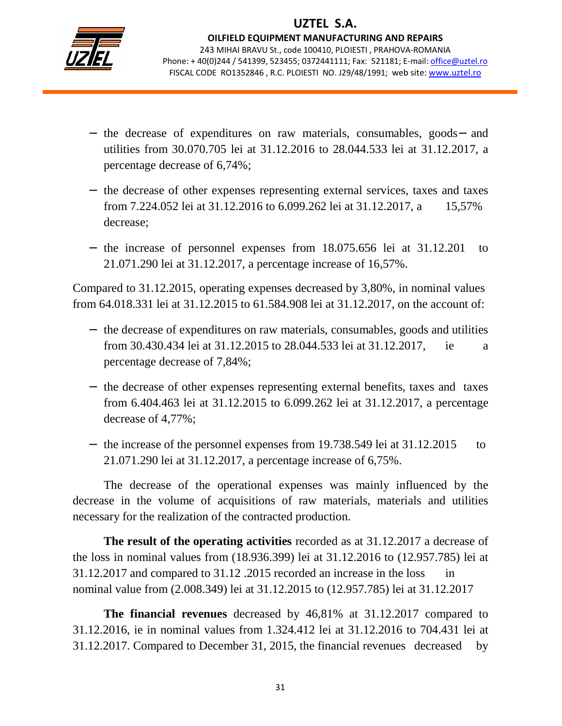

j

- − the decrease of expenditures on raw materials, consumables, goods− and utilities from 30.070.705 lei at 31.12.2016 to 28.044.533 lei at 31.12.2017, a percentage decrease of 6,74%;
- − the decrease of other expenses representing external services, taxes and taxes from 7.224.052 lei at 31.12.2016 to 6.099.262 lei at 31.12.2017, a 15,57% decrease;
- − the increase of personnel expenses from 18.075.656 lei at 31.12.201 to 21.071.290 lei at 31.12.2017, a percentage increase of 16,57%.

Compared to 31.12.2015, operating expenses decreased by 3,80%, in nominal values from 64.018.331 lei at 31.12.2015 to 61.584.908 lei at 31.12.2017, on the account of:

- − the decrease of expenditures on raw materials, consumables, goods and utilities from 30.430.434 lei at 31.12.2015 to 28.044.533 lei at 31.12.2017, ie a percentage decrease of 7,84%;
- − the decrease of other expenses representing external benefits, taxes and taxes from 6.404.463 lei at 31.12.2015 to 6.099.262 lei at 31.12.2017, a percentage decrease of 4,77%;
- − the increase of the personnel expenses from 19.738.549 lei at 31.12.2015 to 21.071.290 lei at 31.12.2017, a percentage increase of 6,75%.

 The decrease of the operational expenses was mainly influenced by the decrease in the volume of acquisitions of raw materials, materials and utilities necessary for the realization of the contracted production.

 **The result of the operating activities** recorded as at 31.12.2017 a decrease of the loss in nominal values from (18.936.399) lei at 31.12.2016 to (12.957.785) lei at 31.12.2017 and compared to 31.12 .2015 recorded an increase in the loss in nominal value from (2.008.349) lei at 31.12.2015 to (12.957.785) lei at 31.12.2017

**The financial revenues** decreased by 46,81% at 31.12.2017 compared to 31.12.2016, ie in nominal values from 1.324.412 lei at 31.12.2016 to 704.431 lei at 31.12.2017. Compared to December 31, 2015, the financial revenues decreased by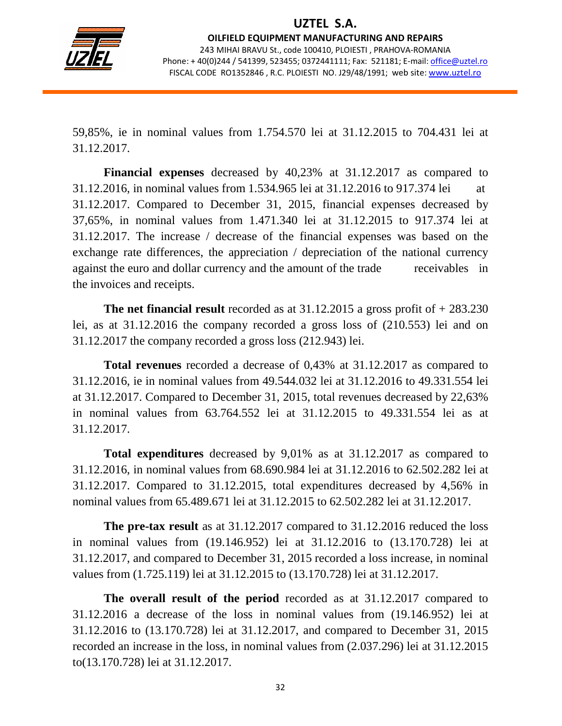

OILFIELD EQUIPMENT MANUFACTURING AND REPAIRS 243 MIHAI BRAVU St., code 100410, PLOIESTI , PRAHOVA-ROMANIA Phone: + 40(0)244 / 541399, 523455; 0372441111; Fax: 521181; E-mail: office@uztel.ro FISCAL CODE RO1352846 , R.C. PLOIESTI NO. J29/48/1991; web site: www.uztel.ro

j

59,85%, ie in nominal values from 1.754.570 lei at 31.12.2015 to 704.431 lei at 31.12.2017.

 **Financial expenses** decreased by 40,23% at 31.12.2017 as compared to 31.12.2016, in nominal values from 1.534.965 lei at 31.12.2016 to 917.374 lei at 31.12.2017. Compared to December 31, 2015, financial expenses decreased by 37,65%, in nominal values from 1.471.340 lei at 31.12.2015 to 917.374 lei at 31.12.2017. The increase / decrease of the financial expenses was based on the exchange rate differences, the appreciation / depreciation of the national currency against the euro and dollar currency and the amount of the trade receivables in the invoices and receipts.

**The net financial result** recorded as at  $31.12.2015$  a gross profit of  $+ 283.230$ lei, as at 31.12.2016 the company recorded a gross loss of (210.553) lei and on 31.12.2017 the company recorded a gross loss (212.943) lei.

 **Total revenues** recorded a decrease of 0,43% at 31.12.2017 as compared to 31.12.2016, ie in nominal values from 49.544.032 lei at 31.12.2016 to 49.331.554 lei at 31.12.2017. Compared to December 31, 2015, total revenues decreased by 22,63% in nominal values from 63.764.552 lei at 31.12.2015 to 49.331.554 lei as at 31.12.2017.

 **Total expenditures** decreased by 9,01% as at 31.12.2017 as compared to 31.12.2016, in nominal values from 68.690.984 lei at 31.12.2016 to 62.502.282 lei at 31.12.2017. Compared to 31.12.2015, total expenditures decreased by 4,56% in nominal values from 65.489.671 lei at 31.12.2015 to 62.502.282 lei at 31.12.2017.

 **The pre-tax result** as at 31.12.2017 compared to 31.12.2016 reduced the loss in nominal values from (19.146.952) lei at 31.12.2016 to (13.170.728) lei at 31.12.2017, and compared to December 31, 2015 recorded a loss increase, in nominal values from (1.725.119) lei at 31.12.2015 to (13.170.728) lei at 31.12.2017.

 **The overall result of the period** recorded as at 31.12.2017 compared to 31.12.2016 a decrease of the loss in nominal values from (19.146.952) lei at 31.12.2016 to (13.170.728) lei at 31.12.2017, and compared to December 31, 2015 recorded an increase in the loss, in nominal values from (2.037.296) lei at 31.12.2015 to(13.170.728) lei at 31.12.2017.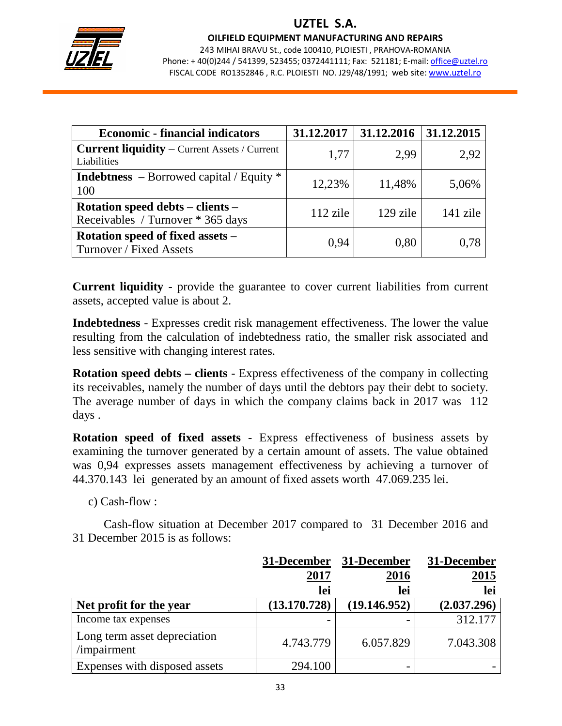

#### OILFIELD EQUIPMENT MANUFACTURING AND REPAIRS

243 MIHAI BRAVU St., code 100410, PLOIESTI , PRAHOVA-ROMANIA Phone: + 40(0)244 / 541399, 523455; 0372441111; Fax: 521181; E-mail: office@uztel.ro FISCAL CODE RO1352846 , R.C. PLOIESTI NO. J29/48/1991; web site: www.uztel.ro

j

| <b>Economic - financial indicators</b>                                | 31.12.2017 | 31.12.2016 | 31.12.2015 |
|-----------------------------------------------------------------------|------------|------------|------------|
| <b>Current liquidity</b> – Current Assets / Current<br>Liabilities    | 1,77       | 2,99       | 2,92       |
| <b>Indebtness</b> – Borrowed capital / Equity $*$<br>100              | 12,23%     | 11,48%     | 5,06%      |
| Rotation speed debts – clients –<br>Receivables / Turnover * 365 days | 112 zile   | 129 zile   | 141 zile   |
| Rotation speed of fixed assets -<br>Turnover / Fixed Assets           | 0.94       | 0,80       | 0.78       |

**Current liquidity** - provide the guarantee to cover current liabilities from current assets, accepted value is about 2.

**Indebtedness** - Expresses credit risk management effectiveness. The lower the value resulting from the calculation of indebtedness ratio, the smaller risk associated and less sensitive with changing interest rates.

**Rotation speed debts – clients** - Express effectiveness of the company in collecting its receivables, namely the number of days until the debtors pay their debt to society. The average number of days in which the company claims back in 2017 was 112 days .

**Rotation speed of fixed assets** - Express effectiveness of business assets by examining the turnover generated by a certain amount of assets. The value obtained was 0,94 expresses assets management effectiveness by achieving a turnover of 44.370.143 lei generated by an amount of fixed assets worth 47.069.235 lei.

c) Cash-flow :

 Cash-flow situation at December 2017 compared to 31 December 2016 and 31 December 2015 is as follows:

|                                             | 31-December  | 31-December     | 31-December |
|---------------------------------------------|--------------|-----------------|-------------|
|                                             | 2017         | <u>2016</u>     | <u>2015</u> |
|                                             | lei          | lei             | lei         |
| Net profit for the year                     | (13.170.728) | (19.146.952)    | (2.037.296) |
| Income tax expenses                         |              |                 | 312.177     |
| Long term asset depreciation<br>/impairment | 4.743.779    | 6.057.829       | 7.043.308   |
| Expenses with disposed assets               | 294.100      | $\qquad \qquad$ |             |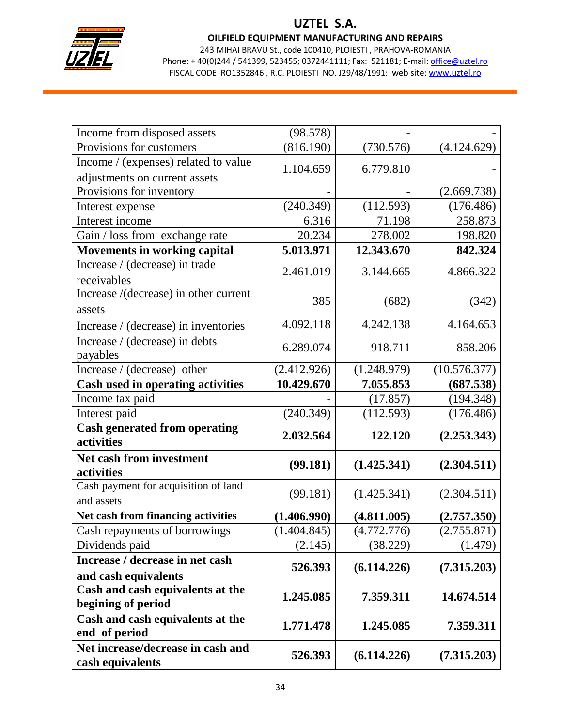

#### OILFIELD EQUIPMENT MANUFACTURING AND REPAIRS

243 MIHAI BRAVU St., code 100410, PLOIESTI , PRAHOVA-ROMANIA Phone: +40(0)244 / 541399, 523455; 0372441111; Fax: 521181; E-mail: office@uztel.ro FISCAL CODE RO1352846 , R.C. PLOIESTI NO. J29/48/1991; web site: www.uztel.ro

j

| Income from disposed assets                            | (98.578)    |             |              |
|--------------------------------------------------------|-------------|-------------|--------------|
| Provisions for customers                               | (816.190)   | (730.576)   | (4.124.629)  |
| Income / (expenses) related to value                   | 1.104.659   | 6.779.810   |              |
| adjustments on current assets                          |             |             |              |
| Provisions for inventory                               |             |             | (2.669.738)  |
| Interest expense                                       | (240.349)   | (112.593)   | (176.486)    |
| Interest income                                        | 6.316       | 71.198      | 258.873      |
| Gain / loss from exchange rate                         | 20.234      | 278.002     | 198.820      |
| <b>Movements in working capital</b>                    | 5.013.971   | 12.343.670  | 842.324      |
| Increase / (decrease) in trade                         | 2.461.019   | 3.144.665   | 4.866.322    |
| receivables                                            |             |             |              |
| Increase /(decrease) in other current                  | 385         | (682)       | (342)        |
| assets                                                 |             |             |              |
| Increase / (decrease) in inventories                   | 4.092.118   | 4.242.138   | 4.164.653    |
| Increase / (decrease) in debts                         | 6.289.074   | 918.711     | 858.206      |
| payables                                               |             |             |              |
| Increase / (decrease) other                            | (2.412.926) | (1.248.979) | (10.576.377) |
| Cash used in operating activities                      | 10.429.670  | 7.055.853   | (687.538)    |
| Income tax paid                                        |             | (17.857)    | (194.348)    |
| Interest paid                                          | (240.349)   | (112.593)   | (176.486)    |
| <b>Cash generated from operating</b><br>activities     | 2.032.564   | 122.120     | (2.253.343)  |
| <b>Net cash from investment</b>                        | (99.181)    | (1.425.341) | (2.304.511)  |
| activities                                             |             |             |              |
| Cash payment for acquisition of land                   | (99.181)    | (1.425.341) | (2.304.511)  |
| and assets                                             |             |             |              |
| Net cash from financing activities                     | (1.406.990) | (4.811.005) | (2.757.350)  |
| Cash repayments of borrowings                          | (1.404.845) | (4.772.776) | (2.755.871)  |
| Dividends paid                                         | (2.145)     | (38.229)    | (1.479)      |
| Increase / decrease in net cash                        | 526.393     | (6.114.226) | (7.315.203)  |
| and cash equivalents                                   |             |             |              |
| Cash and cash equivalents at the<br>begining of period | 1.245.085   | 7.359.311   | 14.674.514   |
| Cash and cash equivalents at the<br>end of period      | 1.771.478   | 1.245.085   | 7.359.311    |
| Net increase/decrease in cash and<br>cash equivalents  | 526.393     | (6.114.226) | (7.315.203)  |